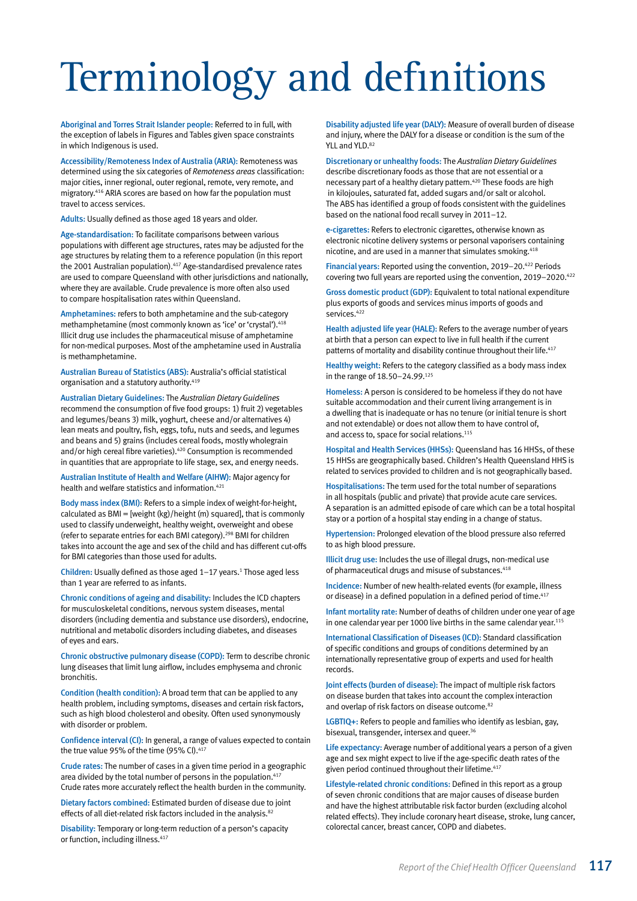# Terminology and definitions

Aboriginal and Torres Strait Islander people: Referred to in full, with the exception of labels in Figures and Tables given space constraints in which Indigenous is used.

Accessibility/Remoteness Index of Australia (ARIA): Remoteness was determined using the six categories of *Remoteness areas* classification: major cities, inner regional, outer regional, remote, very remote, and migratory.416 ARIA scores are based on how far the population must travel to access services.

Adults: Usually defined as those aged 18 years and older.

Age-standardisation: To facilitate comparisons between various populations with different age structures, rates may be adjusted for the age structures by relating them to a reference population (in this report the 2001 Australian population).<sup>417</sup> Age-standardised prevalence rates are used to compare Queensland with other jurisdictions and nationally, where they are available. Crude prevalence is more often also used to compare hospitalisation rates within Queensland.

Amphetamines: refers to both amphetamine and the sub-category methamphetamine (most commonly known as 'ice' or 'crystal').418 Illicit drug use includes the pharmaceutical misuse of amphetamine for non-medical purposes. Most of the amphetamine used in Australia is methamphetamine.

Australian Bureau of Statistics (ABS): Australia's official statistical organisation and a statutory authority.<sup>419</sup>

Australian Dietary Guidelines: The *Australian Dietary Guidelines* recommend the consumption of five food groups: 1) fruit 2) vegetables and legumes/beans 3) milk, yoghurt, cheese and/or alternatives 4) lean meats and poultry, fish, eggs, tofu, nuts and seeds, and legumes and beans and 5) grains (includes cereal foods, mostly wholegrain and/or high cereal fibre varieties).<sup>420</sup> Consumption is recommended in quantities that are appropriate to life stage, sex, and energy needs.

Australian Institute of Health and Welfare (AIHW): Major agency for health and welfare statistics and information.421

Body mass index (BMI): Refers to a simple index of weight-for-height, calculated as  $BMI = [weight (kg)/height (m) squared]$ , that is commonly used to classify underweight, healthy weight, overweight and obese (refer to separate entries for each BMI category).298 BMI for children takes into account the age and sex of the child and has different cut-offs for BMI categories than those used for adults.

Children: Usually defined as those aged  $1-17$  years.<sup>1</sup> Those aged less than 1 year are referred to as infants.

Chronic conditions of ageing and disability: Includes the ICD chapters for musculoskeletal conditions, nervous system diseases, mental disorders (including dementia and substance use disorders), endocrine, nutritional and metabolic disorders including diabetes, and diseases of eyes and ears.

Chronic obstructive pulmonary disease (COPD): Term to describe chronic lung diseases that limit lung airflow, includes emphysema and chronic bronchitis.

Condition (health condition): A broad term that can be applied to any health problem, including symptoms, diseases and certain risk factors, such as high blood cholesterol and obesity. Often used synonymously with disorder or problem.

Confidence interval (CI): In general, a range of values expected to contain the true value 95% of the time (95% CI).<sup>417</sup>

Crude rates: The number of cases in a given time period in a geographic area divided by the total number of persons in the population.<sup>417</sup> Crude rates more accurately reflect the health burden in the community.

Dietary factors combined: Estimated burden of disease due to joint effects of all diet-related risk factors included in the analysis.<sup>82</sup>

Disability: Temporary or long-term reduction of a person's capacity or function, including illness.<sup>417</sup>

Disability adjusted life year (DALY): Measure of overall burden of disease and injury, where the DALY for a disease or condition is the sum of the YLL and YLD. $82$ 

Discretionary or unhealthy foods: The *Australian Dietary Guidelines* describe discretionary foods as those that are not essential or a necessary part of a healthy dietary pattern.420 These foods are high in kilojoules, saturated fat, added sugars and/or salt or alcohol. The ABS has identified a group of foods consistent with the guidelines based on the national food recall survey in 2011–12.

e-cigarettes: Refers to electronic cigarettes, otherwise known as electronic nicotine delivery systems or personal vaporisers containing nicotine, and are used in a manner that simulates smoking.<sup>418</sup>

Financial years: Reported using the convention, 2019–20.<sup>422</sup> Periods covering two full years are reported using the convention, 2019–2020.422

Gross domestic product (GDP): Equivalent to total national expenditure plus exports of goods and services minus imports of goods and services.422

Health adjusted life year (HALE): Refers to the average number of years at birth that a person can expect to live in full health if the current patterns of mortality and disability continue throughout their life.<sup>417</sup>

Healthy weight: Refers to the category classified as a body mass index in the range of 18.50–24.99.125

Homeless: A person is considered to be homeless if they do not have suitable accommodation and their current living arrangement is in a dwelling that is inadequate or has no tenure (or initial tenure is short and not extendable) or does not allow them to have control of, and access to, space for social relations.<sup>115</sup>

Hospital and Health Services (HHSs): Queensland has 16 HHSs, of these 15 HHSs are geographically based. Children's Health Queensland HHS is related to services provided to children and is not geographically based.

Hospitalisations: The term used for the total number of separations in all hospitals (public and private) that provide acute care services. A separation is an admitted episode of care which can be a total hospital stay or a portion of a hospital stay ending in a change of status.

Hypertension: Prolonged elevation of the blood pressure also referred to as high blood pressure.

Illicit drug use: Includes the use of illegal drugs, non-medical use of pharmaceutical drugs and misuse of substances.<sup>418</sup>

Incidence: Number of new health-related events (for example, illness or disease) in a defined population in a defined period of time.<sup>417</sup>

Infant mortality rate: Number of deaths of children under one year of age in one calendar year per 1000 live births in the same calendar year.115

International Classification of Diseases (ICD): Standard classification of specific conditions and groups of conditions determined by an internationally representative group of experts and used for health records.

Joint effects (burden of disease): The impact of multiple risk factors on disease burden that takes into account the complex interaction and overlap of risk factors on disease outcome.<sup>82</sup>

LGBTIQ+: Refers to people and families who identify as lesbian, gay, bisexual, transgender, intersex and queer.<sup>36</sup>

Life expectancy: Average number of additional years a person of a given age and sex might expect to live if the age-specific death rates of the given period continued throughout their lifetime.<sup>417</sup>

Lifestyle-related chronic conditions: Defined in this report as a group of seven chronic conditions that are major causes of disease burden and have the highest attributable risk factor burden (excluding alcohol related effects). They include coronary heart disease, stroke, lung cancer, colorectal cancer, breast cancer, COPD and diabetes.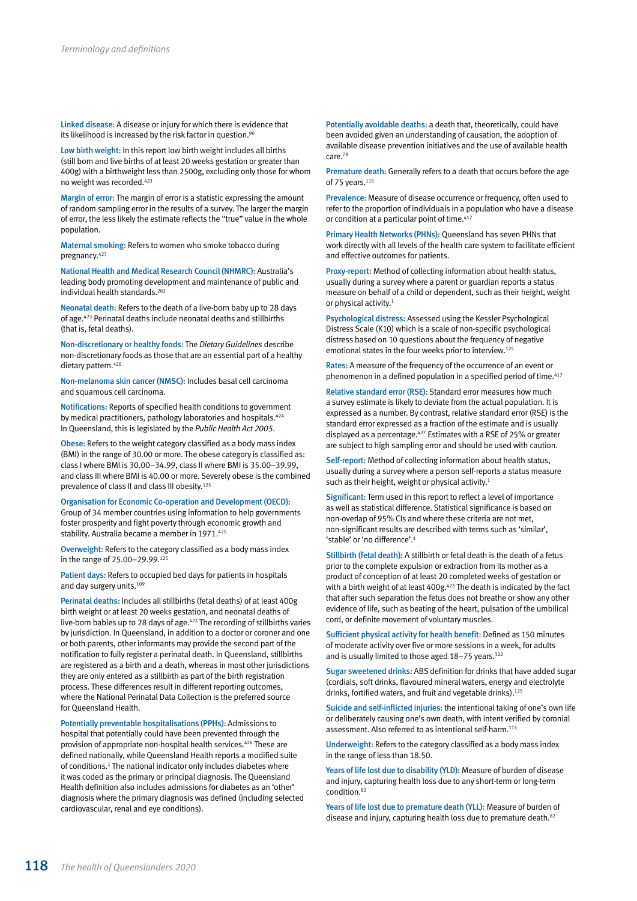Linked disease: A disease or injury for which there is evidence that its likelihood is increased by the risk factor in question.<sup>90</sup>

Low birth weight: In this report low birth weight includes all births (still born and live births of at least 20 weeks gestation or greater than 400g) with a birthweight less than 2500g, excluding only those for whom no weight was recorded.423

Margin of error: The margin of error is a statistic expressing the amount of random sampling error in the results of a survey. The larger the margin of error, the less likely the estimate reflects the "true" value in the whole population.

Maternal smoking: Refers to women who smoke tobacco during pregnancy.423

National Health and Medical Research Council (NHMRC): Australia's leading body promoting development and maintenance of public and individual health standards.<sup>282</sup>

Neonatal death: Refers to the death of a live-born baby up to 28 days of age.423 Perinatal deaths include neonatal deaths and stillbirths (that is, fetal deaths).

Non-discretionary or healthy foods: The *Dietary Guidelines* describe non-discretionary foods as those that are an essential part of a healthy dietary pattern.<sup>420</sup>

Non-melanoma skin cancer (NMSC): Includes basal cell carcinoma and squamous cell carcinoma.

Notifications: Reports of specified health conditions to government by medical practitioners, pathology laboratories and hospitals.<sup>424</sup> In Queensland, this is legislated by the *Public Health Act 2005*.

Obese: Refers to the weight category classified as a body mass index (BMI) in the range of 30.00 or more. The obese category is classified as: class I where BMI is 30.00–34.99, class II where BMI is 35.00–39.99, and class III where BMI is 40.00 or more. Severely obese is the combined prevalence of class II and class III obesity.<sup>125</sup>

Organisation for Economic Co-operation and Development (OECD): Group of 34 member countries using information to help governments foster prosperity and fight poverty through economic growth and stability. Australia became a member in 1971.<sup>425</sup>

Overweight: Refers to the category classified as a body mass index in the range of 25.00–29.99.125

Patient days: Refers to occupied bed days for patients in hospitals and day surgery units.<sup>109</sup>

Perinatal deaths: Includes all stillbirths (fetal deaths) of at least 400g birth weight or at least 20 weeks gestation, and neonatal deaths of live-born babies up to 28 days of age.<sup>423</sup> The recording of stillbirths varies by jurisdiction. In Queensland, in addition to a doctor or coroner and one or both parents, other informants may provide the second part of the notification to fully register a perinatal death. In Queensland, stillbirths are registered as a birth and a death, whereas in most other jurisdictions they are only entered as a stillbirth as part of the birth registration process. These differences result in different reporting outcomes, where the National Perinatal Data Collection is the preferred source for Queensland Health.

Potentially preventable hospitalisations (PPHs): Admissions to hospital that potentially could have been prevented through the provision of appropriate non-hospital health services.426 These are defined nationally, while Queensland Health reports a modified suite of conditions.<sup>1</sup> The national indicator only includes diabetes where it was coded as the primary or principal diagnosis. The Queensland Health definition also includes admissions for diabetes as an 'other' diagnosis where the primary diagnosis was defined (including selected cardiovascular, renal and eye conditions).

Potentially avoidable deaths: a death that, theoretically, could have been avoided given an understanding of causation, the adoption of available disease prevention initiatives and the use of available health care.78

Premature death: Generally refers to a death that occurs before the age of 75 years.<sup>115</sup>

Prevalence: Measure of disease occurrence or frequency, often used to refer to the proportion of individuals in a population who have a disease or condition at a particular point of time.<sup>417</sup>

Primary Health Networks (PHNs): Queensland has seven PHNs that work directly with all levels of the health care system to facilitate efficient and effective outcomes for patients.

Proxy-report: Method of collecting information about health status, usually during a survey where a parent or guardian reports a status measure on behalf of a child or dependent, such as their height, weight or physical activity.<sup>1</sup>

Psychological distress: Assessed using the Kessler Psychological Distress Scale (K10) which is a scale of non-specific psychological distress based on 10 questions about the frequency of negative emotional states in the four weeks prior to interview.125

Rates: A measure of the frequency of the occurrence of an event or phenomenon in a defined population in a specified period of time. $417$ 

Relative standard error (RSE): Standard error measures how much a survey estimate is likely to deviate from the actual population. It is expressed as a number. By contrast, relative standard error (RSE) is the standard error expressed as a fraction of the estimate and is usually displayed as a percentage.427 Estimates with a RSE of 25% or greater are subject to high sampling error and should be used with caution.

Self-report: Method of collecting information about health status, usually during a survey where a person self-reports a status measure such as their height, weight or physical activity.<sup>1</sup>

Significant: Term used in this report to reflect a level of importance as well as statistical difference. Statistical significance is based on non-overlap of 95% CIs and where these criteria are not met, non-significant results are described with terms such as 'similar', 'stable' or 'no difference'.1

Stillbirth (fetal death): A stillbirth or fetal death is the death of a fetus prior to the complete expulsion or extraction from its mother as a product of conception of at least 20 completed weeks of gestation or with a birth weight of at least 400g.<sup>423</sup> The death is indicated by the fact that after such separation the fetus does not breathe or show any other evidence of life, such as beating of the heart, pulsation of the umbilical cord, or definite movement of voluntary muscles.

Sufficient physical activity for health benefit: Defined as 150 minutes of moderate activity over five or more sessions in a week, for adults and is usually limited to those aged 18-75 years.<sup>322</sup>

Sugar sweetened drinks: ABS definition for drinks that have added sugar (cordials, soft drinks, flavoured mineral waters, energy and electrolyte drinks, fortified waters, and fruit and vegetable drinks).<sup>125</sup>

Suicide and self-inflicted injuries: the intentional taking of one's own life or deliberately causing one's own death, with intent verified by coronial assessment. Also referred to as intentional self-harm.<sup>115</sup>

Underweight: Refers to the category classified as a body mass index in the range of less than 18.50.

Years of life lost due to disability (YLD): Measure of burden of disease and injury, capturing health loss due to any short-term or long-term condition.82

Years of life lost due to premature death (YLL): Measure of burden of disease and injury, capturing health loss due to premature death.<sup>82</sup>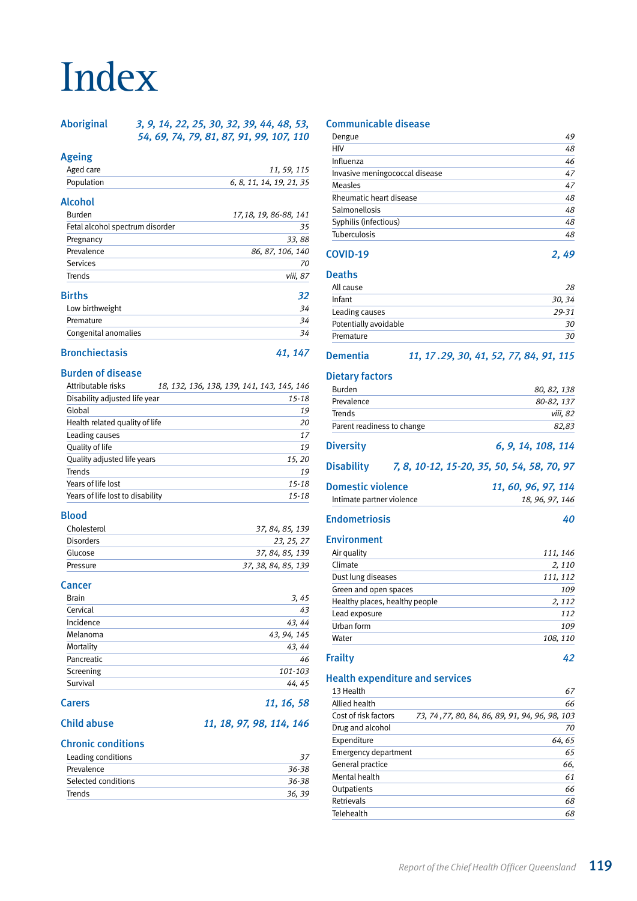# Index

Aboriginal *3, 9, 14, 22, 25, 30, 32, 39, 44, 48, 53, 54, 69, 74, 79, 81, 87, 91, 99, 107, 110*

### Ageing

| Aged care                       | 11, 59, 115              |
|---------------------------------|--------------------------|
| Population                      | 6, 8, 11, 14, 19, 21, 35 |
| Alcohol                         |                          |
| <b>Burden</b>                   | 17, 18, 19, 86-88, 141   |
| Fetal alcohol spectrum disorder | 35                       |

Pregnancy *33, 88* 

| 86, 87, 106, 140 |
|------------------|
| 70               |
| viii, 87         |
| 32               |
| 34               |
| 34               |
| 34               |
|                  |

# Bronchiectasis *41, 147*

# Burden of disease

| Attributable risks               |  | 18, 132, 136, 138, 139, 141, 143, 145, 146 |
|----------------------------------|--|--------------------------------------------|
| Disability adjusted life year    |  | $15 - 18$                                  |
| Global                           |  | 19                                         |
| Health related quality of life   |  | 20                                         |
| Leading causes                   |  | 17                                         |
| Quality of life                  |  | 19                                         |
| Quality adjusted life years      |  | 15, 20                                     |
| Trends                           |  | 19                                         |
| Years of life lost               |  | $15 - 18$                                  |
| Years of life lost to disability |  | $15 - 18$                                  |

# Blood

| Cholesterol      | 37, 84, 85, 139     |
|------------------|---------------------|
| <b>Disorders</b> | 23.25.27            |
| Glucose          | 37.84.85.139        |
| Pressure         | 37, 38, 84, 85, 139 |

### **Cancer**

| <b>Brain</b>  | 3,45        |
|---------------|-------------|
| Cervical      | 43          |
| Incidence     | 43, 44      |
| Melanoma      | 43, 94, 145 |
| Mortality     | 43, 44      |
| Pancreatic    | 46          |
| Screening     | 101-103     |
| Survival      | 44, 45      |
| <b>Carers</b> | 11, 16, 58  |

# Child abuse *11, 18, 97, 98, 114, 146*

# Chronic conditions

| Leading conditions  |       |
|---------------------|-------|
| Prevalence          | 36-38 |
| Selected conditions | 36-38 |
| Trends              | 36.39 |

# Communicable disease

| Dengue                         | 49 |
|--------------------------------|----|
| HIV                            | 48 |
| Influenza                      | 46 |
| Invasive meningococcal disease | 47 |
| Measles                        | 47 |
| Rheumatic heart disease        | 48 |
| Salmonellosis                  | 48 |
| Syphilis (infectious)          | 48 |
| Tuberculosis                   | 48 |
| COVID-19                       |    |

# Deaths

| All cause             | 28    |
|-----------------------|-------|
| Infant                | 30.34 |
| Leading causes        | 29-31 |
| Potentially avoidable | 30    |
| Premature             | 30    |

### Dementia *11, 17 .29, 30, 41, 52, 77, 84, 91, 115*

### Dietary factors

| .                          |             |
|----------------------------|-------------|
| <b>Burden</b>              | 80, 82, 138 |
| Prevalence                 | 80-82, 137  |
| Trends                     | viii. 82    |
| Parent readiness to change | 82.83       |
|                            |             |

```
Diversity 6, 9, 14, 108, 114
```
# Disability *7, 8, 10-12, 15-20, 35, 50, 54, 58, 70, 97*

| <b>Domestic violence</b>  | 11, 60, 96, 97, 114 |
|---------------------------|---------------------|
| Intimate partner violence | 18, 96, 97, 146     |

# Endometriosis *40*

# Environment

| 111, 146 |
|----------|
| 2,110    |
| 111, 112 |
| 109      |
| 2, 112   |
| 112      |
| 109      |
| 108, 110 |
|          |

# Frailty *42*

### Health expenditure and services

| 13 Health            | 67                                              |
|----------------------|-------------------------------------------------|
| Allied health        | 66                                              |
| Cost of risk factors | 73, 74, 77, 80, 84, 86, 89, 91, 94, 96, 98, 103 |
| Drug and alcohol     | 70                                              |
| Expenditure          | 64,65                                           |
| Emergency department | 65                                              |
| General practice     | 66,                                             |
| Mental health        | 61                                              |
| Outpatients          | 66                                              |
| Retrievals           | 68                                              |
| Telehealth           | 68                                              |
|                      |                                                 |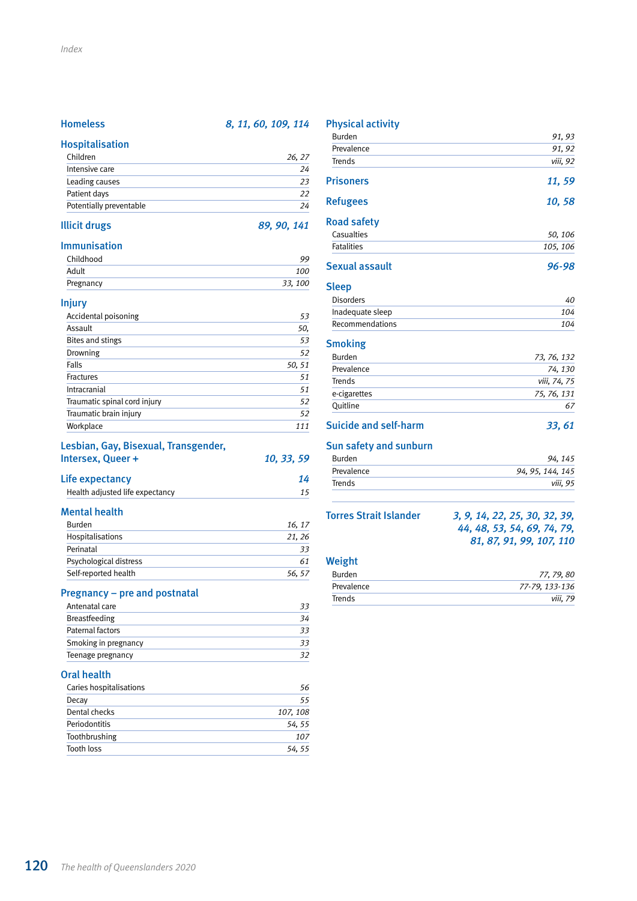# Homeless *8, 11, 60, 109, 114*

# Hospitalisation

| Children                | 26.27 |
|-------------------------|-------|
| Intensive care          | 24    |
| Leading causes          | 23    |
| Patient days            | 22    |
| Potentially preventable | 24    |
|                         |       |

## Illicit drugs *89, 90, 141*

#### Immunisation

| Childhood | 99      |
|-----------|---------|
| Adult     | 100     |
| Pregnancy | 33, 100 |

### Injury

| Accidental poisoning         | 53     |
|------------------------------|--------|
| Assault                      | 50,    |
| Bites and stings             | 53     |
| Drowning                     | 52     |
| Falls                        | 50, 51 |
| <b>Fractures</b>             | 51     |
| Intracranial                 | 51     |
| Traumatic spinal cord injury | 52     |
| Traumatic brain injury       | 52     |
| Workplace                    | 111    |

# Lesbian, Gay, Bisexual, Transgender,

| Intersex, Queer + | 10, 33, 59 |
|-------------------|------------|
|                   |            |

| Life expectancy                 |  |
|---------------------------------|--|
| Health adjusted life expectancy |  |

#### Mental health

| <b>Burden</b>          | 16.17 |
|------------------------|-------|
| Hospitalisations       | 21.26 |
| Perinatal              | 33    |
| Psychological distress | 61    |
| Self-reported health   | 56.57 |

# Pregnancy – pre and postnatal

| Antenatal care       |    |
|----------------------|----|
| <b>Breastfeeding</b> | 34 |
| Paternal factors     | 33 |
| Smoking in pregnancy | 33 |
| Teenage pregnancy    | 32 |

#### Oral health

| Caries hospitalisations | 56       |
|-------------------------|----------|
| Decay                   | 55       |
| Dental checks           | 107, 108 |
| Periodontitis           | 54, 55   |
| Toothbrushing           | 107      |
| Tooth loss              | 54, 55   |

# Physical activity Burden *91, 93* Prevalence 91, 92 Trends *viii, 92* Prisoners *11, 59* Refugees *10, 58* Road safety Casualties *50, 106* Fatalities *105, 106* Sexual assault *96-98* Sleep Disorders *40* Inadequate sleep *104* Recommendations *104* **Smoking** Burden *73, 76, 132* Prevalence *74, 130* Trends *viii, 74, 75* e-cigarettes *75, 76, 131* Quitline *67* Suicide and self-harm *33, 61* Sun safety and sunburn Burden *94, 145* Prevalence *94, 95, 144, 145* Trends *viii, 95* Torres Strait Islander *3, 9, 14, 22, 25, 30, 32, 39,*

### Weight

| Burden     | 77, 79, 80     |
|------------|----------------|
| Prevalence | 77-79, 133-136 |
| Trends     | viii. 79       |

*44, 48, 53, 54, 69, 74, 79, 81, 87, 91, 99, 107, 110*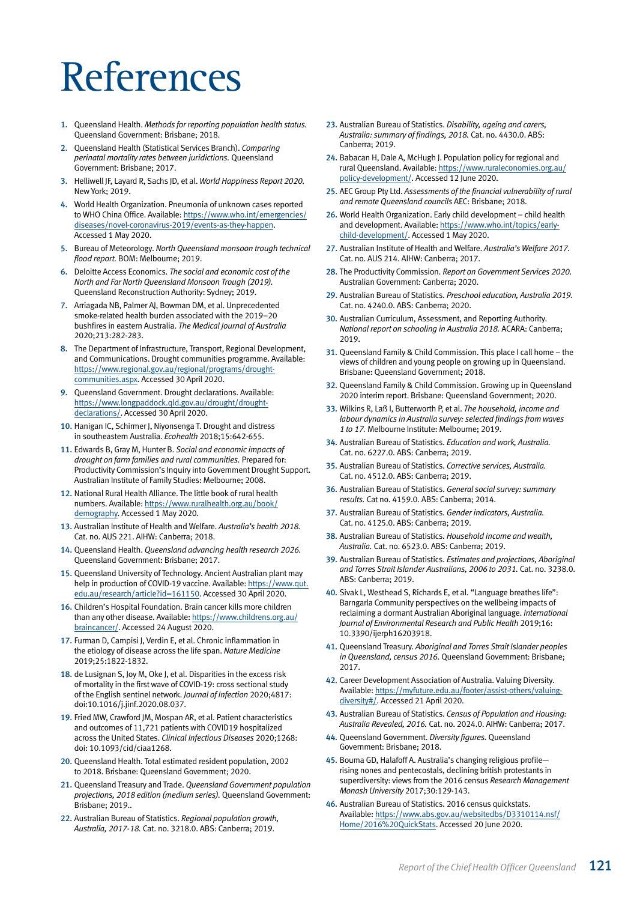# References

- 1. Queensland Health. *Methods for reporting population health status.* Queensland Government: Brisbane; 2018.
- 2. Queensland Health (Statistical Services Branch). *Comparing perinatal mortality rates between juridictions.* Queensland Government: Brisbane; 2017.
- 3. Helliwell JF, Layard R, Sachs JD, et al. *World Happiness Report 2020.* New York; 2019.
- 4. World Health Organization. Pneumonia of unknown cases reported to WHO China Office. Available: [https://www.who.int/emergencies/](https://www.who.int/emergencies/diseases/novel-coronavirus-2019/events-as-they-happen) [diseases/novel-coronavirus-2019/events-as-they-happen](https://www.who.int/emergencies/diseases/novel-coronavirus-2019/events-as-they-happen). Accessed 1 May 2020.
- 5. Bureau of Meteorology. *North Queensland monsoon trough technical flood report.* BOM: Melbourne; 2019.
- 6. Deloitte Access Economics. *The social and economic cost of the North and Far North Queensland Monsoon Trough (2019).* Queensland Reconstruction Authority: Sydney; 2019.
- 7. Arriagada NB, Palmer AJ, Bowman DM, et al. Unprecedented smoke-related health burden associated with the 2019–20 bushfires in eastern Australia. *The Medical Journal of Australia* 2020;213:282-283.
- 8. The Department of Infrastructure, Transport, Regional Development, and Communications. Drought communities programme. Available: [https://www.regional.gov.au/regional/programs/drought](https://www.regional.gov.au/regional/programs/drought-communities.aspx)[communities.aspx](https://www.regional.gov.au/regional/programs/drought-communities.aspx). Accessed 30 April 2020.
- 9. Queensland Government. Drought declarations. Available: [https://www.longpaddock.qld.gov.au/drought/drought](https://www.longpaddock.qld.gov.au/drought/drought-declarations/)[declarations/.](https://www.longpaddock.qld.gov.au/drought/drought-declarations/) Accessed 30 April 2020.
- 10. Hanigan IC, Schirmer J, Niyonsenga T. Drought and distress in southeastern Australia. *Ecohealth* 2018;15:642-655.
- 11. Edwards B, Gray M, Hunter B. *Social and economic impacts of drought on farm families and rural communities.* Prepared for: Productivity Commission's Inquiry into Government Drought Support. Australian Institute of Family Studies: Melbourne; 2008.
- 12. National Rural Health Alliance. The little book of rural health numbers. Available: [https://www.ruralhealth.org.au/book/](https://www.ruralhealth.org.au/book/demography) [demography.](https://www.ruralhealth.org.au/book/demography) Accessed 1 May 2020.
- 13. Australian Institute of Health and Welfare. *Australia's health 2018.* Cat. no. AUS 221. AIHW: Canberra; 2018.
- 14. Queensland Health. *Queensland advancing health research 2026.* Queensland Government: Brisbane; 2017.
- 15. Queensland University of Technology. Ancient Australian plant may help in production of COVID-19 vaccine. Available: [https://www.qut.](https://www.qut.edu.au/research/article?id=161150) [edu.au/research/article?id=161150](https://www.qut.edu.au/research/article?id=161150). Accessed 30 April 2020.
- 16. Children's Hospital Foundation. Brain cancer kills more children than any other disease. Available: [https://www.childrens.org.au/](https://www.childrens.org.au/braincancer/) [braincancer/.](https://www.childrens.org.au/braincancer/) Accessed 24 August 2020.
- 17. Furman D, Campisi J, Verdin E, et al. Chronic inflammation in the etiology of disease across the life span. *Nature Medicine* 2019;25:1822-1832.
- 18. de Lusignan S, Joy M, Oke J, et al. Disparities in the excess risk of mortality in the first wave of COVID-19: cross sectional study of the English sentinel network. *Journal of Infection* 2020;4817: doi:10.1016/j.jinf.2020.08.037.
- 19. Fried MW, Crawford JM, Mospan AR, et al. Patient characteristics and outcomes of 11,721 patients with COVID19 hospitalized across the United States. *Clinical Infectious Diseases* 2020;1268: doi: 10.1093/cid/ciaa1268.
- 20. Queensland Health. Total estimated resident population, 2002 to 2018. Brisbane: Queensland Government; 2020.
- 21. Queensland Treasury and Trade. *Queensland Government population projections, 2018 edition (medium series).* Queensland Government: Brisbane; 2019..
- 22. Australian Bureau of Statistics. *Regional population growth, Australia, 2017-18.* Cat. no. 3218.0. ABS: Canberra; 2019.
- 23. Australian Bureau of Statistics. *Disability, ageing and carers, Australia: summary of findings, 2018.* Cat. no. 4430.0. ABS: Canberra; 2019.
- 24. Babacan H, Dale A, McHugh J. Population policy for regional and rural Queensland. Available: [https://www.ruraleconomies.org.au/](https://www.ruraleconomies.org.au/policy-development/population-policy-for-regional-and-rural-queensland/) [policy-development/.](https://www.ruraleconomies.org.au/policy-development/population-policy-for-regional-and-rural-queensland/) Accessed 12 June 2020.
- 25. AEC Group Pty Ltd. *Assessments of the financial vulnerability of rural and remote Queensland councils* AEC: Brisbane; 2018.
- 26. World Health Organization. Early child development child health and development. Available: [https://www.who.int/topics/early](https://www.who.int/topics/early-child-development/child-health-development/en/)[child-development/](https://www.who.int/topics/early-child-development/child-health-development/en/). Accessed 1 May 2020.
- 27. Australian Institute of Health and Welfare. *Australia's Welfare 2017.* Cat. no. AUS 214. AIHW: Canberra; 2017.
- 28. The Productivity Commission. *Report on Government Services 2020.* Australian Government: Canberra; 2020.
- 29. Australian Bureau of Statistics. *Preschool education, Australia 2019.* Cat. no. 4240.0. ABS: Canberra; 2020.
- 30. Australian Curriculum, Assessment, and Reporting Authority. *National report on schooling in Australia 2018.* ACARA: Canberra; 2019.
- 31. Queensland Family & Child Commission. This place I call home the views of children and young people on growing up in Queensland. Brisbane: Queensland Government; 2018.
- 32. Queensland Family & Child Commission. Growing up in Queensland 2020 interim report. Brisbane: Queensland Government; 2020.
- 33. Wilkins R, Laß I, Butterworth P, et al. *The household, income and labour dynamics in Australia survey: selected findings from waves 1 to 17.* Melbourne Institute: Melbourne; 2019.
- 34. Australian Bureau of Statistics. *Education and work, Australia.* Cat. no. 6227.0. ABS: Canberra; 2019.
- 35. Australian Bureau of Statistics. *Corrective services, Australia.* Cat. no. 4512.0. ABS: Canberra; 2019.
- 36. Australian Bureau of Statistics. *General social survey: summary results.* Cat no. 4159.0. ABS: Canberra; 2014.
- 37. Australian Bureau of Statistics. *Gender indicators, Australia.* Cat. no. 4125.0. ABS: Canberra; 2019.
- 38. Australian Bureau of Statistics. *Household income and wealth, Australia.* Cat. no. 6523.0. ABS: Canberra; 2019.
- 39. Australian Bureau of Statistics. *Estimates and projections, Aboriginal and Torres Strait Islander Australians, 2006 to 2031.* Cat. no. 3238.0. ABS: Canberra; 2019.
- 40. Sivak L, Westhead S, Richards E, et al. "Language breathes life": Barngarla Community perspectives on the wellbeing impacts of reclaiming a dormant Australian Aboriginal language. *International Journal of Environmental Research and Public Health* 2019;16: 10.3390/ijerph16203918.
- 41. Queensland Treasury. *Aboriginal and Torres Strait Islander peoples in Queensland, census 2016.* Queensland Government: Brisbane; 2017.
- 42. Career Development Association of Australia. Valuing Diversity. Available: [https://myfuture.edu.au/footer/assist-others/valuing](https://myfuture.edu.au/footer/assist-others/valuing-diversity#/)[diversity#/](https://myfuture.edu.au/footer/assist-others/valuing-diversity#/). Accessed 21 April 2020.
- 43. Australian Bureau of Statistics. *Census of Population and Housing: Australia Revealed, 2016.* Cat. no. 2024.0. AIHW: Canberra; 2017.
- 44. Queensland Government. *Diversity figures.* Queensland Government: Brisbane; 2018.
- 45. Bouma GD, Halafoff A. Australia's changing religious profile rising nones and pentecostals, declining british protestants in superdiversity: views from the 2016 census *Research Management Monash University* 2017;30:129-143.
- 46. Australian Bureau of Statistics. 2016 census quickstats. Available: [https://www.abs.gov.au/websitedbs/D3310114.nsf/](https://www.abs.gov.au/websitedbs/D3310114.nsf/Home/2016%20QuickStats) [Home/2016%20QuickStats](https://www.abs.gov.au/websitedbs/D3310114.nsf/Home/2016%20QuickStats). Accessed 20 June 2020.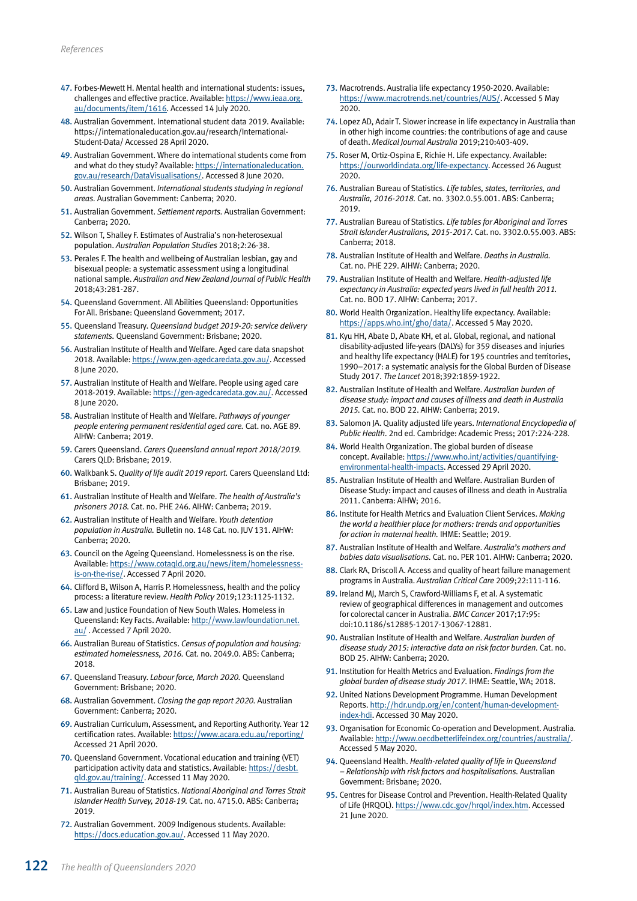- 47. Forbes-Mewett H. Mental health and international students: issues, challenges and effective practice. Available: [https://www.ieaa.org.](https://www.ieaa.org.au/documents/item/1616) [au/documents/item/1616.](https://www.ieaa.org.au/documents/item/1616) Accessed 14 July 2020.
- 48. Australian Government. International student data 2019. Available: https://internationaleducation.gov.au/research/International-Student-Data/ Accessed 28 April 2020.
- 49. Australian Government. Where do international students come from and what do they study? Available: [https://internationaleducation.](https://internationaleducation.gov.au/research/DataVisualisations/Pages/nationalitySummary.aspx) [gov.au/research/DataVisualisations/.](https://internationaleducation.gov.au/research/DataVisualisations/Pages/nationalitySummary.aspx) Accessed 8 June 2020.
- 50. Australian Government. *International students studying in regional areas.* Australian Government: Canberra; 2020.
- 51. Australian Government. *Settlement reports.* Australian Government: Canberra; 2020.
- 52. Wilson T, Shalley F. Estimates of Australia's non-heterosexual population. *Australian Population Studies* 2018;2:26-38.
- 53. Perales F. The health and wellbeing of Australian lesbian, gay and bisexual people: a systematic assessment using a longitudinal national sample. *Australian and New Zealand Journal of Public Health* 2018;43:281-287.
- 54. Queensland Government. All Abilities Queensland: Opportunities For All. Brisbane: Queensland Government; 2017.
- 55. Queensland Treasury. *Queensland budget 2019-20: service delivery statements.* Queensland Government: Brisbane; 2020.
- 56. Australian Institute of Health and Welfare. Aged care data snapshot 2018. Available: [https://www.gen-agedcaredata.gov.au/.](https://www.gen-agedcaredata.gov.au/Resources/Dashboards/Aged-care-data-snapshot-2018) Accessed 8 June 2020.
- 57. Australian Institute of Health and Welfare. People using aged care 2018-2019. Available: [https://gen-agedcaredata.gov.au/.](https://gen-agedcaredata.gov.au/Resources/Dashboards/People-using-aged-care-2018%E2%80%9319) Accessed 8 June 2020.
- 58. Australian Institute of Health and Welfare. *Pathways of younger people entering permanent residential aged care.* Cat. no. AGE 89. AIHW: Canberra; 2019.
- 59. Carers Queensland. *Carers Queensland annual report 2018/2019.* Carers QLD: Brisbane; 2019.
- 60. Walkbank S. *Quality of life audit 2019 report.* Carers Queensland Ltd: Brisbane; 2019.
- 61. Australian Institute of Health and Welfare. *The health of Australia's prisoners 2018.* Cat. no. PHE 246. AIHW: Canberra; 2019.
- 62. Australian Institute of Health and Welfare. *Youth detention population in Australia.* Bulletin no. 148 Cat. no. JUV 131. AIHW: Canberra; 2020.
- 63. Council on the Ageing Queensland. Homelessness is on the rise. Available: [https://www.cotaqld.org.au/news/item/homelessness](https://www.cotaqld.org.au/news/item/homelessness-is-on-the-rise/)[is-on-the-rise/](https://www.cotaqld.org.au/news/item/homelessness-is-on-the-rise/). Accessed 7 April 2020.
- 64. Clifford B, Wilson A, Harris P. Homelessness, health and the policy process: a literature review. *Health Policy* 2019;123:1125-1132.
- 65. Law and Justice Foundation of New South Wales. Homeless in Queensland: Key Facts. Available: [http://www.lawfoundation.net.](http://www.lawfoundation.net.au/ljf/site/templates/resources/$file/Homelessness_QLD.pdf) [au/](http://www.lawfoundation.net.au/ljf/site/templates/resources/$file/Homelessness_QLD.pdf) . Accessed 7 April 2020.
- 66. Australian Bureau of Statistics. *Census of population and housing: estimated homelessness, 2016.* Cat. no. 2049.0. ABS: Canberra; 2018.
- 67. Queensland Treasury. *Labour force, March 2020.* Queensland Government: Brisbane; 2020.
- 68. Australian Government. *Closing the gap report 2020.* Australian Government: Canberra; 2020.
- 69. Australian Curriculum, Assessment, and Reporting Authority. Year 12 certification rates. Available:<https://www.acara.edu.au/reporting/> Accessed 21 April 2020.
- 70. Queensland Government. Vocational education and training (VET) participation activity data and statistics. Available: [https://desbt.](https://desbt.qld.gov.au/training/) [qld.gov.au/training/.](https://desbt.qld.gov.au/training/) Accessed 11 May 2020.
- 71. Australian Bureau of Statistics. *National Aboriginal and Torres Strait Islander Health Survey, 2018-19.* Cat. no. 4715.0. ABS: Canberra; 2019.
- 72. Australian Government. 2009 Indigenous students. Available: [https://docs.education.gov.au/.](https://docs.education.gov.au/) Accessed 11 May 2020.
- 73. Macrotrends. Australia life expectancy 1950-2020. Available: [https://www.macrotrends.net/countries/AUS/.](https://www.macrotrends.net/countries/AUS/australia/life-expectancy) Accessed 5 May 2020.
- 74. Lopez AD, Adair T. Slower increase in life expectancy in Australia than in other high income countries: the contributions of age and cause of death. *Medical Journal Australia* 2019;210:403-409.
- 75. Roser M, Ortiz-Ospina E, Richie H. Life expectancy. Available: <https://ourworldindata.org/life-expectancy>. Accessed 26 August 2020.
- 76. Australian Bureau of Statistics. *Life tables, states, territories, and Australia, 2016-2018.* Cat. no. 3302.0.55.001. ABS: Canberra; 2019.
- 77. Australian Bureau of Statistics. *Life tables for Aboriginal and Torres Strait Islander Australians, 2015-2017.* Cat. no. 3302.0.55.003. ABS: Canberra; 2018.
- 78. Australian Institute of Health and Welfare. *Deaths in Australia.* Cat. no. PHE 229. AIHW: Canberra; 2020.
- 79. Australian Institute of Health and Welfare. *Health-adjusted life expectancy in Australia: expected years lived in full health 2011.* Cat. no. BOD 17. AIHW: Canberra; 2017.
- 80. World Health Organization. Healthy life expectancy. Available: <https://apps.who.int/gho/data/>. Accessed 5 May 2020.
- 81. Kyu HH, Abate D, Abate KH, et al. Global, regional, and national disability-adjusted life-years (DALYs) for 359 diseases and injuries and healthy life expectancy (HALE) for 195 countries and territories, 1990–2017: a systematic analysis for the Global Burden of Disease Study 2017. *The Lancet* 2018;392:1859-1922.
- 82. Australian Institute of Health and Welfare. *Australian burden of disease study: impact and causes of illness and death in Australia 2015.* Cat. no. BOD 22. AIHW: Canberra; 2019.
- 83. Salomon JA. Quality adjusted life years. *International Encyclopedia of Public Health*. 2nd ed. Cambridge: Academic Press; 2017:224-228.
- 84. World Health Organization. The global burden of disease concept. Available: [https://www.who.int/activities/quantifying](https://www.who.int/activities/quantifying-environmental-health-impacts)[environmental-health-impacts.](https://www.who.int/activities/quantifying-environmental-health-impacts) Accessed 29 April 2020.
- 85. Australian Institute of Health and Welfare. Australian Burden of Disease Study: impact and causes of illness and death in Australia 2011. Canberra: AIHW; 2016.
- 86. Institute for Health Metrics and Evaluation Client Services. *Making the world a healthier place for mothers: trends and opportunities for action in maternal health.* IHME: Seattle; 2019.
- 87. Australian Institute of Health and Welfare. *Australia's mothers and babies data visualisations.* Cat. no. PER 101. AIHW: Canberra; 2020.
- 88. Clark RA, Driscoll A. Access and quality of heart failure management programs in Australia. *Australian Critical Care* 2009;22:111-116.
- 89. Ireland MJ, March S, Crawford-Williams F, et al. A systematic review of geographical differences in management and outcomes for colorectal cancer in Australia. *BMC Cancer* 2017;17:95: doi:10.1186/s12885-12017-13067-12881.
- 90. Australian Institute of Health and Welfare. *Australian burden of disease study 2015: interactive data on risk factor burden.* Cat. no. BOD 25. AIHW: Canberra; 2020.
- 91. Institution for Health Metrics and Evaluation. *Findings from the global burden of disease study 2017.* IHME: Seattle, WA; 2018.
- 92. United Nations Development Programme. Human Development Reports. [http://hdr.undp.org/en/content/human-development](http://hdr.undp.org/en/content/human-development-index-hdi)[index-hdi.](http://hdr.undp.org/en/content/human-development-index-hdi) Accessed 30 May 2020.
- 93. Organisation for Economic Co-operation and Development. Australia. Available: [http://www.oecdbetterlifeindex.org/countries/australia/.](http://www.oecdbetterlifeindex.org/countries/australia/) Accessed 5 May 2020.
- 94. Queensland Health. *Health-related quality of life in Queensland – Relationship with risk factors and hospitalisations.* Australian Government: Brisbane; 2020.
- 95. Centres for Disease Control and Prevention. Health-Related Quality of Life (HRQOL). [https://www.cdc.gov/hrqol/index.htm.](https://www.cdc.gov/hrqol/index.htm) Accessed 21 lune 2020.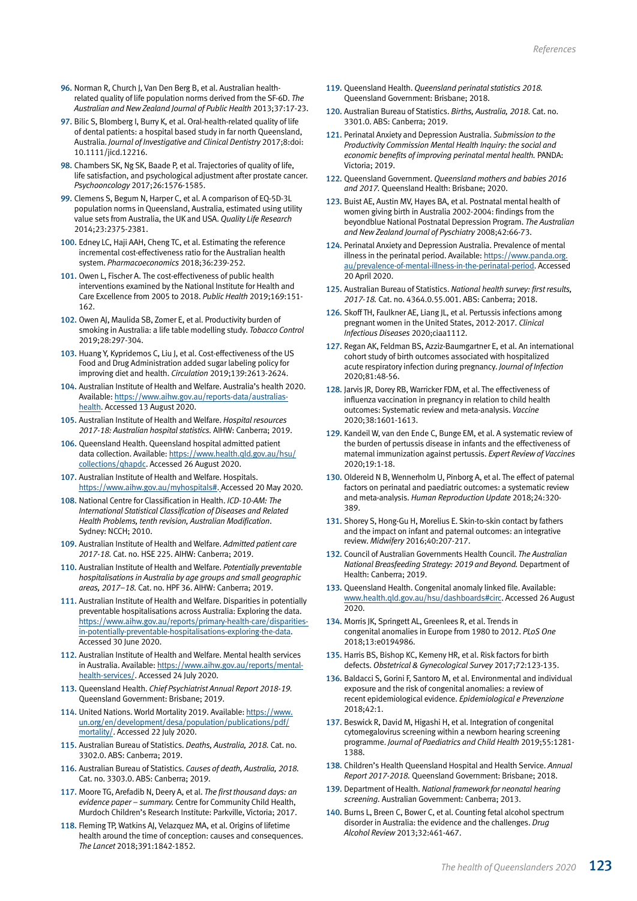- 96. Norman R, Church J, Van Den Berg B, et al. Australian healthrelated quality of life population norms derived from the SF-6D. *The Australian and New Zealand Journal of Public Health* 2013;37:17-23.
- 97. Bilic S, Blomberg I, Burry K, et al. Oral-health-related quality of life of dental patients: a hospital based study in far north Queensland, Australia. *Journal of Investigative and Clinical Dentistry* 2017;8:doi: 10.1111/jicd.12216.
- 98. Chambers SK, Ng SK, Baade P, et al. Trajectories of quality of life, life satisfaction, and psychological adjustment after prostate cancer. *Psychooncology* 2017;26:1576-1585.
- 99. Clemens S, Begum N, Harper C, et al. A comparison of EQ-5D-3L population norms in Queensland, Australia, estimated using utility value sets from Australia, the UK and USA. *Quality Life Research* 2014;23:2375-2381.
- 100. Edney LC, Haji AAH, Cheng TC, et al. Estimating the reference incremental cost-effectiveness ratio for the Australian health system. *Pharmacoeconomics* 2018;36:239-252.
- 101. Owen L, Fischer A. The cost-effectiveness of public health interventions examined by the National Institute for Health and Care Excellence from 2005 to 2018. *Public Health* 2019;169:151- 162.
- 102. Owen AJ, Maulida SB, Zomer E, et al. Productivity burden of smoking in Australia: a life table modelling study. *Tobacco Control* 2019;28:297-304.
- 103. Huang Y, Kypridemos C, Liu J, et al. Cost-effectiveness of the US Food and Drug Administration added sugar labeling policy for improving diet and health. *Circulation* 2019;139:2613-2624.
- 104. Australian Institute of Health and Welfare. Australia's health 2020. Available: [https://www.aihw.gov.au/reports-data/australias](https://www.aihw.gov.au/reports-data/australias-health)[health](https://www.aihw.gov.au/reports-data/australias-health). Accessed 13 August 2020.
- 105. Australian Institute of Health and Welfare. *Hospital resources 2017-18: Australian hospital statistics.* AIHW: Canberra; 2019.
- 106. Queensland Health. Queensland hospital admitted patient data collection. Available: [https://www.health.qld.gov.au/hsu/](https://www.health.qld.gov.au/hsu/collections/qhapdc) [collections/qhapdc](https://www.health.qld.gov.au/hsu/collections/qhapdc). Accessed 26 August 2020.
- 107. Australian Institute of Health and Welfare. Hospitals. [https://www.aihw.gov.au/myhospitals#.](https://www.aihw.gov.au/myhospitals#) Accessed 20 May 2020.
- 108. National Centre for Classification in Health. *ICD-10-AM: The International Statistical Classification of Diseases and Related Health Problems, tenth revision, Australian Modification*. Sydney: NCCH; 2010.
- 109. Australian Institute of Health and Welfare. *Admitted patient care 2017-18.* Cat. no. HSE 225. AIHW: Canberra; 2019.
- 110. Australian Institute of Health and Welfare. *Potentially preventable hospitalisations in Australia by age groups and small geographic areas, 2017–18.* Cat. no. HPF 36. AIHW: Canberra; 2019.
- 111. Australian Institute of Health and Welfare. Disparities in potentially preventable hospitalisations across Australia: Exploring the data. [https://www.aihw.gov.au/reports/primary-health-care/disparities](https://www.aihw.gov.au/reports/primary-health-care/disparities-in-potentially-preventable-hospitalisations-exploring-the-data)[in-potentially-preventable-hospitalisations-exploring-the-data.](https://www.aihw.gov.au/reports/primary-health-care/disparities-in-potentially-preventable-hospitalisations-exploring-the-data) Accessed 30 June 2020.
- 112. Australian Institute of Health and Welfare. Mental health services in Australia. Available: [https://www.aihw.gov.au/reports/mental](https://www.aihw.gov.au/reports/mental-health-services/mental-health-services-in-australia/report-contents/overnight-admitted-mental-health-related-care)[health-services/.](https://www.aihw.gov.au/reports/mental-health-services/mental-health-services-in-australia/report-contents/overnight-admitted-mental-health-related-care) Accessed 24 July 2020.
- 113. Queensland Health. *Chief Psychiatrist Annual Report 2018-19.* Queensland Government: Brisbane; 2019.
- 114. United Nations. World Mortality 2019. Available: [https://www.](https://www.un.org/en/development/desa/population/publications/pdf/mortality/WMR2019/WorldMortality2019DataBooklet.pdf) [un.org/en/development/desa/population/publications/pdf/](https://www.un.org/en/development/desa/population/publications/pdf/mortality/WMR2019/WorldMortality2019DataBooklet.pdf) [mortality/.](https://www.un.org/en/development/desa/population/publications/pdf/mortality/WMR2019/WorldMortality2019DataBooklet.pdf) Accessed 22 July 2020.
- 115. Australian Bureau of Statistics. *Deaths, Australia, 2018.* Cat. no. 3302.0. ABS: Canberra; 2019.
- 116. Australian Bureau of Statistics. *Causes of death, Australia, 2018.* Cat. no. 3303.0. ABS: Canberra; 2019.
- 117. Moore TG, Arefadib N, Deery A, et al. *The first thousand days: an evidence paper – summary.* Centre for Community Child Health, Murdoch Children's Research Institute: Parkville, Victoria; 2017.
- 118. Fleming TP, Watkins AJ, Velazquez MA, et al. Origins of lifetime health around the time of conception: causes and consequences. *The Lancet* 2018;391:1842-1852.
- 119. Queensland Health. *Queensland perinatal statistics 2018.* Queensland Government: Brisbane; 2018.
- 120. Australian Bureau of Statistics. *Births, Australia, 2018.* Cat. no. 3301.0. ABS: Canberra; 2019.
- 121. Perinatal Anxiety and Depression Australia. *Submission to the Productivity Commission Mental Health Inquiry: the social and economic benefits of improving perinatal mental health.* PANDA: Victoria; 2019.
- 122. Queensland Government. *Queensland mothers and babies 2016 and 2017.* Queensland Health: Brisbane; 2020.
- 123. Buist AE, Austin MV, Hayes BA, et al. Postnatal mental health of women giving birth in Australia 2002-2004: findings from the beyondblue National Postnatal Depression Program. *The Australian and New Zealand Journal of Pyschiatry* 2008;42:66-73.
- 124. Perinatal Anxiety and Depression Australia. Prevalence of mental illness in the perinatal period. Available: [https://www.panda.org.](https://www.panda.org.au/prevalence-of-mental-illness-in-the-perinatal-period) [au/prevalence-of-mental-illness-in-the-perinatal-period](https://www.panda.org.au/prevalence-of-mental-illness-in-the-perinatal-period). Accessed 20 April 2020.
- 125. Australian Bureau of Statistics. *National health survey: first results, 2017-18.* Cat. no. 4364.0.55.001. ABS: Canberra; 2018.
- 126. Skoff TH, Faulkner AE, Liang JL, et al. Pertussis infections among pregnant women in the United States, 2012-2017. *Clinical Infectious Diseases* 2020;ciaa1112.
- 127. Regan AK, Feldman BS, Azziz-Baumgartner E, et al. An international cohort study of birth outcomes associated with hospitalized acute respiratory infection during pregnancy. *Journal of Infection* 2020;81:48-56.
- 128. Jarvis JR, Dorey RB, Warricker FDM, et al. The effectiveness of influenza vaccination in pregnancy in relation to child health outcomes: Systematic review and meta-analysis. *Vaccine* 2020;38:1601-1613.
- 129. Kandeil W, van den Ende C, Bunge EM, et al. A systematic review of the burden of pertussis disease in infants and the effectiveness of maternal immunization against pertussis. *Expert Review of Vaccines* 2020;19:1-18.
- 130. Oldereid N B, Wennerholm U, Pinborg A, et al. The effect of paternal factors on perinatal and paediatric outcomes: a systematic review and meta-analysis. *Human Reproduction Update* 2018;24:320- 389.
- 131. Shorey S, Hong-Gu H, Morelius E. Skin-to-skin contact by fathers and the impact on infant and paternal outcomes: an integrative review. *Midwifery* 2016;40:207-217.
- 132. Council of Australian Governments Health Council. *The Australian National Breasfeeding Strategy: 2019 and Beyond.* Department of Health: Canberra; 2019.
- 133. Queensland Health. Congenital anomaly linked file. Available: www.health.qld.gov.au/hsu/dashboards#circ. Accessed 26 August 2020.
- 134. Morris JK, Springett AL, Greenlees R, et al. Trends in congenital anomalies in Europe from 1980 to 2012. *PLoS One* 2018;13:e0194986.
- 135. Harris BS, Bishop KC, Kemeny HR, et al. Risk factors for birth defects. *Obstetrical & Gynecological Survey* 2017;72:123-135.
- 136. Baldacci S, Gorini F, Santoro M, et al. Environmental and individual exposure and the risk of congenital anomalies: a review of recent epidemiological evidence. *Epidemiological e Prevenzione* 2018;42:1.
- 137. Beswick R, David M, Higashi H, et al. Integration of congenital cytomegalovirus screening within a newborn hearing screening programme. *Journal of Paediatrics and Child Health* 2019;55:1281- 1388.
- 138. Children's Health Queensland Hospital and Health Service. *Annual Report 2017-2018.* Queensland Government: Brisbane; 2018.
- 139. Department of Health. *National framework for neonatal hearing screening.* Australian Government: Canberra; 2013.
- 140. Burns L, Breen C, Bower C, et al. Counting fetal alcohol spectrum disorder in Australia: the evidence and the challenges. *Drug Alcohol Review* 2013;32:461-467.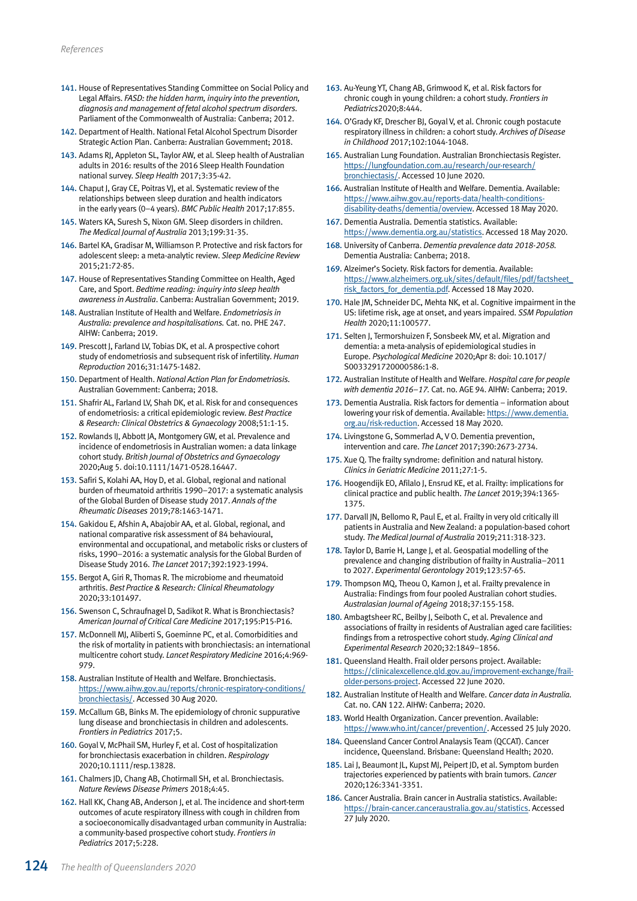- 141. House of Representatives Standing Committee on Social Policy and Legal Affairs. *FASD: the hidden harm, inquiry into the prevention, diagnosis and management of fetal alcohol spectrum disorders.*  Parliament of the Commonwealth of Australia: Canberra; 2012.
- 142. Department of Health. National Fetal Alcohol Spectrum Disorder Strategic Action Plan. Canberra: Australian Government; 2018.
- 143. Adams RJ, Appleton SL, Taylor AW, et al. Sleep health of Australian adults in 2016: results of the 2016 Sleep Health Foundation national survey. *Sleep Health* 2017;3:35-42.
- 144. Chaput J, Gray CE, Poitras VJ, et al. Systematic review of the relationships between sleep duration and health indicators in the early years (0–4 years). *BMC Public Health* 2017;17:855.
- 145. Waters KA, Suresh S, Nixon GM. Sleep disorders in children. *The Medical Journal of Australia* 2013;199:31-35.
- 146. Bartel KA, Gradisar M, Williamson P. Protective and risk factors for adolescent sleep: a meta-analytic review. *Sleep Medicine Review* 2015;21:72-85.
- 147. House of Representatives Standing Committee on Health, Aged Care, and Sport. *Bedtime reading: inquiry into sleep health awareness in Australia*. Canberra: Australian Government; 2019.
- 148. Australian Institute of Health and Welfare. *Endometriosis in Australia: prevalence and hospitalisations.* Cat. no. PHE 247. AIHW: Canberra; 2019.
- 149. Prescott J, Farland LV, Tobias DK, et al. A prospective cohort study of endometriosis and subsequent risk of infertility. *Human Reproduction* 2016;31:1475-1482.
- 150. Department of Health. *National Action Plan for Endometriosis.* Australian Government: Canberra; 2018.
- 151. Shafrir AL, Farland LV, Shah DK, et al. Risk for and consequences of endometriosis: a critical epidemiologic review. *Best Practice & Research: Clinical Obstetrics & Gynaecology* 2008;51:1-15.
- 152. Rowlands IJ, Abbott JA, Montgomery GW, et al. Prevalence and incidence of endometriosis in Australian women: a data linkage cohort study. *British Journal of Obstetrics and Gynaecology* 2020;Aug 5. doi:10.1111/1471-0528.16447.
- 153. Safiri S, Kolahi AA, Hoy D, et al. Global, regional and national burden of rheumatoid arthritis 1990–2017: a systematic analysis of the Global Burden of Disease study 2017. *Annals of the Rheumatic Diseases* 2019;78:1463-1471.
- 154. Gakidou E, Afshin A, Abajobir AA, et al. Global, regional, and national comparative risk assessment of 84 behavioural, environmental and occupational, and metabolic risks or clusters of risks, 1990–2016: a systematic analysis for the Global Burden of Disease Study 2016. *The Lancet* 2017;392:1923-1994.
- 155. Bergot A, Giri R, Thomas R. The microbiome and rheumatoid arthritis. *Best Practice & Research: Clinical Rheumatology* 2020;33:101497.
- 156. Swenson C, Schraufnagel D, Sadikot R. What is Bronchiectasis? *American Journal of Critical Care Medicine* 2017;195:P15-P16.
- 157. McDonnell MJ, Aliberti S, Goeminne PC, et al. Comorbidities and the risk of mortality in patients with bronchiectasis: an international multicentre cohort study. *Lancet Respiratory Medicine* 2016;4:969- 979.
- 158. Australian Institute of Health and Welfare. Bronchiectasis. [https://www.aihw.gov.au/reports/chronic-respiratory-conditions/](https://www.aihw.gov.au/reports/chronic-respiratory-conditions/bronchiectasis/contents/bronchiectasis) [bronchiectasis/](https://www.aihw.gov.au/reports/chronic-respiratory-conditions/bronchiectasis/contents/bronchiectasis). Accessed 30 Aug 2020.
- 159. McCallum GB, Binks M. The epidemiology of chronic suppurative lung disease and bronchiectasis in children and adolescents. *Frontiers in Pediatrics* 2017;5.
- 160. Goyal V, McPhail SM, Hurley F, et al. Cost of hospitalization for bronchiectasis exacerbation in children. *Respirology* 2020;10.1111/resp.13828.
- 161. Chalmers JD, Chang AB, Chotirmall SH, et al. Bronchiectasis. *Nature Reviews Disease Primers* 2018;4:45.
- 162. Hall KK, Chang AB, Anderson J, et al. The incidence and short-term outcomes of acute respiratory illness with cough in children from a socioeconomically disadvantaged urban community in Australia: a community-based prospective cohort study. *Frontiers in Pediatrics* 2017;5:228.
- 163. Au-Yeung YT, Chang AB, Grimwood K, et al. Risk factors for chronic cough in young children: a cohort study. *Frontiers in Pediatrics*2020;8:444.
- 164. O'Grady KF, Drescher BJ, Goyal V, et al. Chronic cough postacute respiratory illness in children: a cohort study. *Archives of Disease in Childhood* 2017;102:1044-1048.
- 165. Australian Lung Foundation. Australian Bronchiectasis Register. [https://lungfoundation.com.au/research/our-research/](https://lungfoundation.com.au/research/our-research/bronchiectasis/) [bronchiectasis/](https://lungfoundation.com.au/research/our-research/bronchiectasis/). Accessed 10 June 2020.
- 166. Australian Institute of Health and Welfare. Dementia. Available: [https://www.aihw.gov.au/reports-data/health-conditions](https://www.aihw.gov.au/reports-data/health-conditions-disability-deaths/dementia/overview)[disability-deaths/dementia/overview](https://www.aihw.gov.au/reports-data/health-conditions-disability-deaths/dementia/overview). Accessed 18 May 2020.
- 167. Dementia Australia. Dementia statistics. Available: <https://www.dementia.org.au/statistics>. Accessed 18 May 2020.
- 168. University of Canberra. *Dementia prevalence data 2018-2058.* Dementia Australia: Canberra; 2018.
- 169. Alzeimer's Society. Risk factors for dementia. Available: [https://www.alzheimers.org.uk/sites/default/files/pdf/factsheet\\_](https://www.alzheimers.org.uk/sites/default/files/pdf/factsheet_risk_factors_for_dementia.pdf) [risk\\_factors\\_for\\_dementia.pdf.](https://www.alzheimers.org.uk/sites/default/files/pdf/factsheet_risk_factors_for_dementia.pdf) Accessed 18 May 2020.
- 170. Hale JM, Schneider DC, Mehta NK, et al. Cognitive impairment in the US: lifetime risk, age at onset, and years impaired. *SSM Population Health* 2020;11:100577.
- 171. Selten J, Termorshuizen F, Sonsbeek MV, et al. Migration and dementia: a meta-analysis of epidemiological studies in Europe. *Psychological Medicine* 2020;Apr 8: doi: 10.1017/ S0033291720000586:1-8.
- 172. Australian Institute of Health and Welfare. *Hospital care for people with dementia 2016–17.* Cat. no. AGE 94. AIHW: Canberra; 2019.
- 173. Dementia Australia. Risk factors for dementia information about lowering your risk of dementia. Available: [https://www.dementia.](https://www.dementia.org.au/risk-reduction) [org.au/risk-reduction.](https://www.dementia.org.au/risk-reduction) Accessed 18 May 2020.
- 174. Livingstone G, Sommerlad A, V O. Dementia prevention, intervention and care. *The Lancet* 2017;390:2673-2734.
- 175. Xue Q. The frailty syndrome: definition and natural history. *Clinics in Geriatric Medicine* 2011;27:1-5.
- 176. Hoogendijk EO, Afilalo J, Ensrud KE, et al. Frailty: implications for clinical practice and public health. *The Lancet* 2019;394:1365- 1375.
- 177. Darvall JN, Bellomo R, Paul E, et al. Frailty in very old critically ill patients in Australia and New Zealand: a population-based cohort study. *The Medical Journal of Australia* 2019;211:318-323.
- 178. Taylor D, Barrie H, Lange J, et al. Geospatial modelling of the prevalence and changing distribution of frailty in Australia–2011 to 2027. *Experimental Gerontology* 2019;123:57-65.
- 179. Thompson MQ, Theou O, Karnon J, et al. Frailty prevalence in Australia: Findings from four pooled Australian cohort studies. *Australasian Journal of Ageing* 2018;37:155-158.
- 180. Ambagtsheer RC, Beilby J, Seiboth C, et al. Prevalence and associations of frailty in residents of Australian aged care facilities: findings from a retrospective cohort study. *Aging Clinical and Experimental Research* 2020;32:1849–1856.
- 181. Queensland Health. Frail older persons project. Available: [https://clinicalexcellence.qld.gov.au/improvement-exchange/frail](https://clinicalexcellence.qld.gov.au/improvement-exchange/frail-older-persons-project)[older-persons-project.](https://clinicalexcellence.qld.gov.au/improvement-exchange/frail-older-persons-project) Accessed 22 June 2020.
- 182. Australian Institute of Health and Welfare. *Cancer data in Australia.* Cat. no. CAN 122. AIHW: Canberra; 2020.
- 183. World Health Organization. Cancer prevention. Available: <https://www.who.int/cancer/prevention/>. Accessed 25 July 2020.
- 184. Queensland Cancer Control Analaysis Team (QCCAT). Cancer incidence, Queensland. Brisbane: Queensland Health; 2020.
- 185. Lai J, Beaumont JL, Kupst MJ, Peipert JD, et al. Symptom burden trajectories experienced by patients with brain tumors. *Cancer* 2020;126:3341-3351.
- 186. Cancer Australia. Brain cancer in Australia statistics. Available: [https://brain-cancer.canceraustralia.gov.au/statistics.](https://brain-cancer.canceraustralia.gov.au/statistics) Accessed 27 July 2020.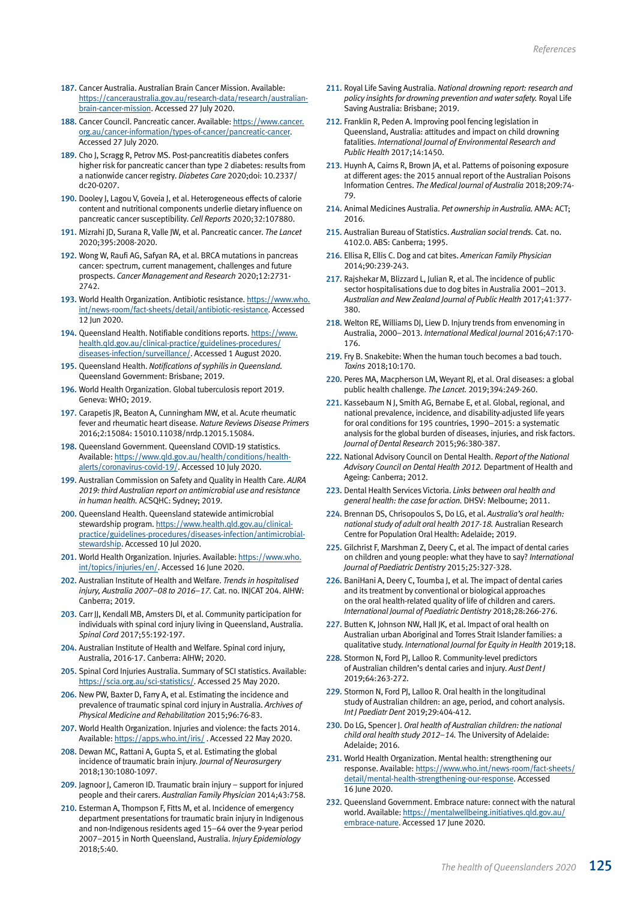- 187. Cancer Australia. Australian Brain Cancer Mission. Available: [https://canceraustralia.gov.au/research-data/research/australian](https://canceraustralia.gov.au/research-data/research/australian-brain-cancer-mission)[brain-cancer-mission](https://canceraustralia.gov.au/research-data/research/australian-brain-cancer-mission). Accessed 27 July 2020.
- 188. Cancer Council. Pancreatic cancer. Available: [https://www.cancer.](https://www.cancer.org.au/cancer-information/types-of-cancer/pancreatic-cancer) [org.au/cancer-information/types-of-cancer/pancreatic-cancer](https://www.cancer.org.au/cancer-information/types-of-cancer/pancreatic-cancer). Accessed 27 July 2020.
- 189. Cho J, Scragg R, Petrov MS. Post-pancreatitis diabetes confers higher risk for pancreatic cancer than type 2 diabetes: results from a nationwide cancer registry. *Diabetes Care* 2020;doi: 10.2337/ dc20-0207.
- 190. Dooley J, Lagou V, Goveia J, et al. Heterogeneous effects of calorie content and nutritional components underlie dietary influence on pancreatic cancer susceptibility. *Cell Reports* 2020;32:107880.
- 191. Mizrahi JD, Surana R, Valle JW, et al. Pancreatic cancer. *The Lancet* 2020;395:2008-2020.
- 192. Wong W, Raufi AG, Safyan RA, et al. BRCA mutations in pancreas cancer: spectrum, current management, challenges and future prospects. *Cancer Management and Research* 2020;12:2731- 2742.
- 193. World Health Organization. Antibiotic resistance. [https://www.who.](https://www.who.int/news-room/fact-sheets/detail/antibiotic-resistance) [int/news-room/fact-sheets/detail/antibiotic-resistance.](https://www.who.int/news-room/fact-sheets/detail/antibiotic-resistance) Accessed 12 Jun 2020.
- 194. Queensland Health. Notifiable conditions reports. [https://www.](https://www.health.qld.gov.au/clinical-practice/guidelines-procedures/diseases-infection/surveillance/reports/notifiable/weekly) [health.qld.gov.au/clinical-practice/guidelines-procedures/](https://www.health.qld.gov.au/clinical-practice/guidelines-procedures/diseases-infection/surveillance/reports/notifiable/weekly) [diseases-infection/surveillance/](https://www.health.qld.gov.au/clinical-practice/guidelines-procedures/diseases-infection/surveillance/reports/notifiable/weekly). Accessed 1 August 2020.
- 195. Queensland Health. *Notifications of syphilis in Queensland.* Queensland Government: Brisbane; 2019.
- 196. World Health Organization. Global tuberculosis report 2019. Geneva: WHO; 2019.
- 197. Carapetis JR, Beaton A, Cunningham MW, et al. Acute rheumatic fever and rheumatic heart disease. *Nature Reviews Disease Primers* 2016;2:15084: 15010.11038/nrdp.12015.15084.
- 198. Queensland Government. Queensland COVID-19 statistics. Available: https://www.qld.gov.au/health/conditions/healthalerts/coronavirus-covid-19/. Accessed 10 July 2020.
- 199. Australian Commission on Safety and Quality in Health Care. *AURA 2019: third Australian report on antimicrobial use and resistance in human health.* ACSQHC: Sydney; 2019.
- 200. Queensland Health. Queensland statewide antimicrobial stewardship program. [https://www.health.qld.gov.au/clinical](https://www.health.qld.gov.au/clinical-practice/guidelines-procedures/diseases-infection/antimicrobial-stewardship)[practice/guidelines-procedures/diseases-infection/antimicrobial](https://www.health.qld.gov.au/clinical-practice/guidelines-procedures/diseases-infection/antimicrobial-stewardship)[stewardship](https://www.health.qld.gov.au/clinical-practice/guidelines-procedures/diseases-infection/antimicrobial-stewardship). Accessed 10 Jul 2020.
- 201. World Health Organization. Injuries. Available: [https://www.who.](https://www.who.int/topics/injuries/en/) [int/topics/injuries/en/](https://www.who.int/topics/injuries/en/). Accessed 16 June 2020.
- 202. Australian Institute of Health and Welfare. *Trends in hospitalised injury, Australia 2007–08 to 2016–17.* Cat. no. INJCAT 204. AIHW: Canberra; 2019.
- 203. Carr JJ, Kendall MB, Amsters DI, et al. Community participation for individuals with spinal cord injury living in Queensland, Australia. *Spinal Cord* 2017;55:192-197.
- 204. Australian Institute of Health and Welfare. Spinal cord injury, Australia, 2016-17. Canberra: AIHW; 2020.
- 205. Spinal Cord Injuries Australia. Summary of SCI statistics. Available: <https://scia.org.au/sci-statistics/>. Accessed 25 May 2020.
- 206. New PW, Baxter D, Farry A, et al. Estimating the incidence and prevalence of traumatic spinal cord injury in Australia. *Archives of Physical Medicine and Rehabilitation* 2015;96:76-83.
- 207. World Health Organization. Injuries and violence: the facts 2014. Available: [https://apps.who.int/iris/](https://apps.who.int/iris/bitstream/handle/10665/149798/9789241508018_eng.pdf?sequence=1&isAllowed=y) . Accessed 22 May 2020.
- 208. Dewan MC, Rattani A, Gupta S, et al. Estimating the global incidence of traumatic brain injury. *Journal of Neurosurgery* 2018;130:1080-1097.
- 209. Jagnoor J, Cameron ID. Traumatic brain injury support for injured people and their carers. *Australian Family Physician* 2014;43:758.
- 210. Esterman A, Thompson F, Fitts M, et al. Incidence of emergency department presentations for traumatic brain injury in Indigenous and non-Indigenous residents aged 15–64 over the 9-year period 2007–2015 in North Queensland, Australia. *Injury Epidemiology* 2018;5:40.
- 211. Royal Life Saving Australia. *National drowning report: research and policy insights for drowning prevention and water safety.* Royal Life Saving Australia: Brisbane; 2019.
- 212. Franklin R, Peden A. Improving pool fencing legislation in Queensland, Australia: attitudes and impact on child drowning fatalities. *International Journal of Environmental Research and Public Health* 2017;14:1450.
- 213. Huynh A, Cairns R, Brown JA, et al. Patterns of poisoning exposure at different ages: the 2015 annual report of the Australian Poisons Information Centres. *The Medical Journal of Australia* 2018;209:74- 79.
- 214. Animal Medicines Australia. *Pet ownership in Australia.* AMA: ACT; 2016.
- 215. Australian Bureau of Statistics. *Australian social trends.* Cat. no. 4102.0. ABS: Canberra; 1995.
- 216. Ellisa R, Ellis C. Dog and cat bites. *American Family Physician* 2014;90:239-243.
- 217. Rajshekar M, Blizzard L, Julian R, et al. The incidence of public sector hospitalisations due to dog bites in Australia 2001–2013. *Australian and New Zealand Journal of Public Health* 2017;41:377- 380.
- 218. Welton RE, Williams DJ, Liew D. Injury trends from envenoming in Australia, 2000–2013. *International Medical Journal* 2016;47:170- 176.
- 219. Fry B. Snakebite: When the human touch becomes a bad touch. *Toxins* 2018;10:170.
- 220. Peres MA, Macpherson LM, Weyant RJ, et al. Oral diseases: a global public health challenge. *The Lancet.* 2019;394:249-260.
- 221. Kassebaum N J, Smith AG, Bernabe E, et al. Global, regional, and national prevalence, incidence, and disability-adjusted life years for oral conditions for 195 countries, 1990–2015: a systematic analysis for the global burden of diseases, injuries, and risk factors. *Journal of Dental Research* 2015;96:380-387.
- 222. National Advisory Council on Dental Health. *Report of the National Advisory Council on Dental Health 2012.* Department of Health and Ageing: Canberra; 2012.
- 223. Dental Health Services Victoria. *Links between oral health and general health: the case for action.* DHSV: Melbourne; 2011.
- 224. Brennan DS, Chrisopoulos S, Do LG, et al. *Australia's oral health: national study of adult oral health 2017-18.* Australian Research Centre for Population Oral Health: Adelaide; 2019.
- 225. Gilchrist F, Marshman Z, Deery C, et al. The impact of dental caries on children and young people: what they have to say? *International Journal of Paediatric Dentistry* 2015;25:327-328.
- 226. BaniHani A, Deery C, Toumba J, et al. The impact of dental caries and its treatment by conventional or biological approaches on the oral health-related quality of life of children and carers. *International Journal of Paediatric Dentistry* 2018;28:266-276.
- 227. Butten K, Johnson NW, Hall JK, et al. Impact of oral health on Australian urban Aboriginal and Torres Strait Islander families: a qualitative study. *International Journal for Equity in Health* 2019;18.
- 228. Stormon N, Ford PJ, Lalloo R. Community-level predictors of Australian children's dental caries and injury. *Aust Dent J* 2019;64:263-272.
- 229. Stormon N, Ford PJ, Lalloo R. Oral health in the longitudinal study of Australian children: an age, period, and cohort analysis. *Int J Paediatr Dent* 2019;29:404-412.
- 230. Do LG, Spencer J. *Oral health of Australian children: the national child oral health study 2012–14.* The University of Adelaide: Adelaide; 2016.
- 231. World Health Organization. Mental health: strengthening our response. Available: [https://www.who.int/news-room/fact-sheets/](https://www.who.int/news-room/fact-sheets/detail/mental-health-strengthening-our-response) [detail/mental-health-strengthening-our-response](https://www.who.int/news-room/fact-sheets/detail/mental-health-strengthening-our-response). Accessed 16 June 2020.
- 232. Queensland Government. Embrace nature: connect with the natural world. Available: [https://mentalwellbeing.initiatives.qld.gov.au/](https://mentalwellbeing.initiatives.qld.gov.au/embrace-nature) [embrace-nature.](https://mentalwellbeing.initiatives.qld.gov.au/embrace-nature) Accessed 17 June 2020.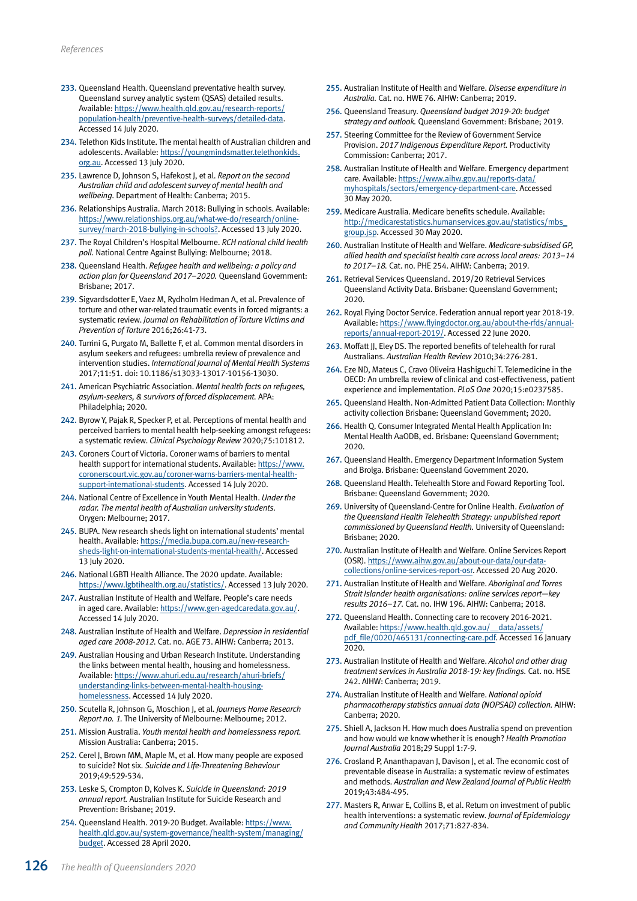- 233. Queensland Health. Queensland preventative health survey. Queensland survey analytic system (QSAS) detailed results. Available: [https://www.health.qld.gov.au/research-reports/](https://www.health.qld.gov.au/research-reports/population-health/preventive-health-surveys/detailed-data) [population-health/preventive-health-surveys/detailed-data.](https://www.health.qld.gov.au/research-reports/population-health/preventive-health-surveys/detailed-data) Accessed 14 July 2020.
- 234. Telethon Kids Institute. The mental health of Australian children and adolescents. Available: [https://youngmindsmatter.telethonkids.](https://youngmindsmatter.telethonkids.org.au) [org.au](https://youngmindsmatter.telethonkids.org.au). Accessed 13 July 2020.
- 235. Lawrence D, Johnson S, Hafekost J, et al. *Report on the second Australian child and adolescent survey of mental health and wellbeing.* Department of Health: Canberra; 2015.
- 236. Relationships Australia. March 2018: Bullying in schools. Available: [https://www.relationships.org.au/what-we-do/research/online](https://www.relationships.org.au/what-we-do/research/online-survey/march-2018-bullying-in-schools?)[survey/march-2018-bullying-in-schools?.](https://www.relationships.org.au/what-we-do/research/online-survey/march-2018-bullying-in-schools?) Accessed 13 July 2020.
- 237. The Royal Children's Hospital Melbourne. *RCH national child health poll.* National Centre Against Bullying: Melbourne; 2018.
- 238. Queensland Health. *Refugee health and wellbeing: a policy and action plan for Queensland 2017–2020.* Queensland Government: Brisbane; 2017.
- 239. Sigvardsdotter E, Vaez M, Rydholm Hedman A, et al. Prevalence of torture and other war-related traumatic events in forced migrants: a systematic review. *Journal on Rehabilitation of Torture Victims and Prevention of Torture* 2016;26:41-73.
- 240. Turrini G, Purgato M, Ballette F, et al. Common mental disorders in asylum seekers and refugees: umbrella review of prevalence and intervention studies. *International Journal of Mental Health Systems* 2017;11:51. doi: 10.1186/s13033-13017-10156-13030.
- 241. American Psychiatric Association. *Mental health facts on refugees, asylum-seekers, & survivors of forced displacement.* APA: Philadelphia; 2020.
- 242. Byrow Y, Pajak R, Specker P, et al. Perceptions of mental health and perceived barriers to mental health help-seeking amongst refugees: a systematic review. *Clinical Psychology Review* 2020;75:101812.
- 243. Coroners Court of Victoria. Coroner warns of barriers to mental health support for international students. Available: [https://www.](https://www.coronerscourt.vic.gov.au/coroner-warns-barriers-mental-health-support-international-students) [coronerscourt.vic.gov.au/coroner-warns-barriers-mental-health](https://www.coronerscourt.vic.gov.au/coroner-warns-barriers-mental-health-support-international-students)[support-international-students.](https://www.coronerscourt.vic.gov.au/coroner-warns-barriers-mental-health-support-international-students) Accessed 14 July 2020.
- 244. National Centre of Excellence in Youth Mental Health. *Under the radar. The mental health of Australian university students.* Orygen: Melbourne; 2017.
- 245. BUPA. New research sheds light on international students' mental health. Available: [https://media.bupa.com.au/new-research](https://media.bupa.com.au/new-research-sheds-light-on-international-students-mental-health/)[sheds-light-on-international-students-mental-health/.](https://media.bupa.com.au/new-research-sheds-light-on-international-students-mental-health/) Accessed 13 July 2020.
- 246. National LGBTI Health Alliance. The 2020 update. Available: [https://www.lgbtihealth.org.au/statistics/.](https://www.lgbtihealth.org.au/statistics/) Accessed 13 July 2020.
- 247. Australian Institute of Health and Welfare. People's care needs in aged care. Available: [https://www.gen-agedcaredata.gov.au/.](https://www.gen-agedcaredata.gov.au/Topics/Care-needs-in-aged-care) Accessed 14 July 2020.
- 248. Australian Institute of Health and Welfare. *Depression in residential aged care 2008-2012.* Cat. no. AGE 73. AIHW: Canberra; 2013.
- 249. Australian Housing and Urban Research Institute. Understanding the links between mental health, housing and homelessness. Available: [https://www.ahuri.edu.au/research/ahuri-briefs/](https://www.ahuri.edu.au/research/ahuri-briefs/understanding-links-between-mental-health-housing-homelessness) [understanding-links-between-mental-health-housing](https://www.ahuri.edu.au/research/ahuri-briefs/understanding-links-between-mental-health-housing-homelessness)[homelessness](https://www.ahuri.edu.au/research/ahuri-briefs/understanding-links-between-mental-health-housing-homelessness). Accessed 14 July 2020.
- 250. Scutella R, Johnson G, Moschion J, et al. *Journeys Home Research Report no. 1.* The University of Melbourne: Melbourne; 2012.
- 251. Mission Australia. *Youth mental health and homelessness report.* Mission Australia: Canberra; 2015.
- 252. Cerel J, Brown MM, Maple M, et al. How many people are exposed to suicide? Not six. *Suicide and Life-Threatening Behaviour* 2019;49:529-534.
- 253. Leske S, Crompton D, Kolves K. *Suicide in Queensland: 2019 annual report.* Australian Institute for Suicide Research and Prevention: Brisbane; 2019.
- 254. Queensland Health. 2019-20 Budget. Available: [https://www.](https://www.health.qld.gov.au/system-governance/health-system/managing/budget) [health.qld.gov.au/system-governance/health-system/managing/](https://www.health.qld.gov.au/system-governance/health-system/managing/budget) [budget.](https://www.health.qld.gov.au/system-governance/health-system/managing/budget) Accessed 28 April 2020.
- 255. Australian Institute of Health and Welfare. *Disease expenditure in Australia.* Cat. no. HWE 76. AIHW: Canberra; 2019.
- 256. Queensland Treasury. *Queensland budget 2019-20: budget strategy and outlook.* Queensland Government: Brisbane; 2019.
- 257. Steering Committee for the Review of Government Service Provision. *2017 Indigenous Expenditure Report.* Productivity Commission: Canberra; 2017.
- 258. Australian Institute of Health and Welfare. Emergency department care. Available: [https://www.aihw.gov.au/reports-data/](https://www.aihw.gov.au/reports-data/myhospitals/sectors/emergency-department-care) [myhospitals/sectors/emergency-department-care](https://www.aihw.gov.au/reports-data/myhospitals/sectors/emergency-department-care). Accessed 30 May 2020.
- 259. Medicare Australia. Medicare benefits schedule. Available: [http://medicarestatistics.humanservices.gov.au/statistics/mbs\\_](http://medicarestatistics.humanservices.gov.au/statistics/mbs_group.jsp) [group.jsp](http://medicarestatistics.humanservices.gov.au/statistics/mbs_group.jsp). Accessed 30 May 2020.
- 260. Australian Institute of Health and Welfare. *Medicare-subsidised GP, allied health and specialist health care across local areas: 2013–14 to 2017–18.* Cat. no. PHE 254. AIHW: Canberra; 2019.
- 261. Retrieval Services Queensland. 2019/20 Retrieval Services Queensland Activity Data. Brisbane: Queensland Government; 2020.
- 262. Royal Flying Doctor Service. Federation annual report year 2018-19. Available: [https://www.flyingdoctor.org.au/about-the-rfds/annual](https://www.flyingdoctor.org.au/about-the-rfds/annual-reports/annual-report-2019/)[reports/annual-report-2019/.](https://www.flyingdoctor.org.au/about-the-rfds/annual-reports/annual-report-2019/) Accessed 22 June 2020.
- 263. Moffatt JJ, Eley DS. The reported benefits of telehealth for rural Australians. *Australian Health Review* 2010;34:276-281.
- 264. Eze ND, Mateus C, Cravo Oliveira Hashiguchi T. Telemedicine in the OECD: An umbrella review of clinical and cost-effectiveness, patient experience and implementation. *PLoS One* 2020;15:e0237585.
- 265. Queensland Health. Non-Admitted Patient Data Collection: Monthly activity collection Brisbane: Queensland Government; 2020.
- 266. Health Q. Consumer Integrated Mental Health Application In: Mental Health AaODB, ed. Brisbane: Queensland Government; 2020.
- 267. Queensland Health. Emergency Department Information System and Brolga. Brisbane: Queensland Government 2020.
- 268. Queensland Health. Telehealth Store and Foward Reporting Tool. Brisbane: Queensland Government; 2020.
- 269. University of Queensland-Centre for Online Health. *Evaluation of the Queensland Health Telehealth Strategy: unpublished report commissioned by Queensland Health.* University of Queensland: Brisbane; 2020.
- 270. Australian Institute of Health and Welfare. Online Services Report (OSR). [https://www.aihw.gov.au/about-our-data/our-data](https://www.aihw.gov.au/about-our-data/our-data-collections/online-services-report-osr)[collections/online-services-report-osr.](https://www.aihw.gov.au/about-our-data/our-data-collections/online-services-report-osr) Accessed 20 Aug 2020.
- 271. Australian Institute of Health and Welfare. *Aboriginal and Torres Strait Islander health organisations: online services report—key results 2016–17.* Cat. no. IHW 196. AIHW: Canberra; 2018.
- 272. Queensland Health. Connecting care to recovery 2016-2021. Available: [https://www.health.qld.gov.au/\\_\\_data/assets/](https://www.health.qld.gov.au/__data/assets/pdf_file/0020/465131/connecting-care.pdf) [pdf\\_file/0020/465131/connecting-care.pdf](https://www.health.qld.gov.au/__data/assets/pdf_file/0020/465131/connecting-care.pdf). Accessed 16 January 2020.
- 273. Australian Institute of Health and Welfare. *Alcohol and other drug treatment services in Australia 2018-19: key findings.* Cat. no. HSE 242. AIHW: Canberra; 2019.
- 274. Australian Institute of Health and Welfare. *National opioid pharmacotherapy statistics annual data (NOPSAD) collection.* AIHW: Canberra; 2020.
- 275. Shiell A, Jackson H. How much does Australia spend on prevention and how would we know whether it is enough? *Health Promotion Journal Australia* 2018;29 Suppl 1:7-9.
- 276. Crosland P, Ananthapavan J, Davison J, et al. The economic cost of preventable disease in Australia: a systematic review of estimates and methods. *Australian and New Zealand Journal of Public Health* 2019;43:484-495.
- 277. Masters R, Anwar E, Collins B, et al. Return on investment of public health interventions: a systematic review. *Journal of Epidemiology and Community Health* 2017;71:827-834.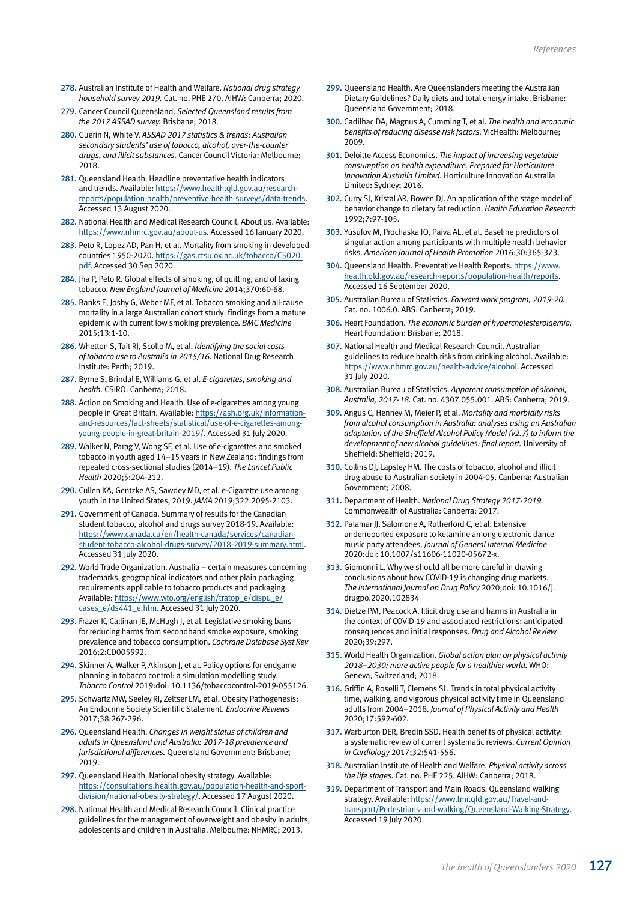- 278. Australian Institute of Health and Welfare. *National drug strategy household survey 2019.* Cat. no. PHE 270. AIHW: Canberra; 2020.
- 279. Cancer Council Queensland. *Selected Queensland results from the 2017 ASSAD survey.* Brisbane; 2018.
- 280. Guerin N, White V. *ASSAD 2017 statistics & trends: Australian secondary students' use of tobacco, alcohol, over-the-counter drugs, and illicit substances.* Cancer Council Victoria: Melbourne; 2018.
- 281. Queensland Health. Headline preventative health indicators and trends. Available: [https://www.health.qld.gov.au/research](https://www.health.qld.gov.au/research-reports/population-health/preventive-health-surveys/data-trends)[reports/population-health/preventive-health-surveys/data-trends](https://www.health.qld.gov.au/research-reports/population-health/preventive-health-surveys/data-trends). Accessed 13 August 2020.
- 282. National Health and Medical Research Council. About us. Available: <https://www.nhmrc.gov.au/about-us>. Accessed 16 January 2020.
- 283. Peto R, Lopez AD, Pan H, et al. Mortality from smoking in developed countries 1950-2020. [https://gas.ctsu.ox.ac.uk/tobacco/C5020.](https://gas.ctsu.ox.ac.uk/tobacco/C5020.pdf) [pdf](https://gas.ctsu.ox.ac.uk/tobacco/C5020.pdf). Accessed 30 Sep 2020.
- 284. Jha P, Peto R. Global effects of smoking, of quitting, and of taxing tobacco. *New England Journal of Medicine* 2014;370:60-68.
- 285. Banks E, Joshy G, Weber MF, et al. Tobacco smoking and all-cause mortality in a large Australian cohort study: findings from a mature epidemic with current low smoking prevalence. *BMC Medicine* 2015;13:1-10.
- 286. Whetton S, Tait RJ, Scollo M, et al. *Identifying the social costs of tobacco use to Australia in 2015/16.* National Drug Research Institute: Perth; 2019.
- 287. Byrne S, Brindal E, Williams G, et al. *E-cigarettes, smoking and health.* CSIRO: Canberra; 2018.
- 288. Action on Smoking and Health. Use of e-cigarettes among young people in Great Britain. Available: [https://ash.org.uk/information](https://ash.org.uk/information-and-resources/fact-sheets/statistical/use-of-e-cigarettes-among-young-people-in-great-britain-2019/)[and-resources/fact-sheets/statistical/use-of-e-cigarettes-among](https://ash.org.uk/information-and-resources/fact-sheets/statistical/use-of-e-cigarettes-among-young-people-in-great-britain-2019/)[young-people-in-great-britain-2019/](https://ash.org.uk/information-and-resources/fact-sheets/statistical/use-of-e-cigarettes-among-young-people-in-great-britain-2019/). Accessed 31 July 2020.
- 289. Walker N, Parag V, Wong SF, et al. Use of e-cigarettes and smoked tobacco in youth aged 14–15 years in New Zealand: findings from repeated cross-sectional studies (2014–19). *The Lancet Public Health* 2020;5:204-212.
- 290. Cullen KA, Gentzke AS, Sawdey MD, et al. e-Cigarette use among youth in the United States, 2019. *JAMA* 2019;322:2095-2103.
- 291. Government of Canada. Summary of results for the Canadian student tobacco, alcohol and drugs survey 2018-19. Available: [https://www.canada.ca/en/health-canada/services/canadian](https://www.canada.ca/en/health-canada/services/canadian-student-tobacco-alcohol-drugs-survey/2018-2019-summary.html)[student-tobacco-alcohol-drugs-survey/2018-2019-summary.html](https://www.canada.ca/en/health-canada/services/canadian-student-tobacco-alcohol-drugs-survey/2018-2019-summary.html). Accessed 31 July 2020.
- 292. World Trade Organization. Australia certain measures concerning trademarks, geographical indicators and other plain packaging requirements applicable to tobacco products and packaging. Available: [https://www.wto.org/english/tratop\\_e/dispu\\_e/](https://www.wto.org/english/tratop_e/dispu_e/cases_e/ds441_e.htm) [cases\\_e/ds441\\_e.htm.](https://www.wto.org/english/tratop_e/dispu_e/cases_e/ds441_e.htm) Accessed 31 July 2020.
- 293. Frazer K, Callinan JE, McHugh J, et al. Legislative smoking bans for reducing harms from secondhand smoke exposure, smoking prevalence and tobacco consumption. *Cochrane Database Syst Rev* 2016;2:CD005992.
- 294. Skinner A, Walker P, Akinson J, et al. Policy options for endgame planning in tobacco control: a simulation modelling study. *Tobacco Control* 2019:doi: 10.1136/tobaccocontrol-2019-055126.
- 295. Schwartz MW, Seeley RJ, Zeltser LM, et al. Obesity Pathogenesis: An Endocrine Society Scientific Statement. *Endocrine Reviews* 2017;38:267-296.
- 296. Queensland Health. *Changes in weight status of children and adults in Queensland and Australia: 2017-18 prevalence and jurisdictional differences.* Queensland Government: Brisbane; 2019.
- 297. Queensland Health. National obesity strategy. Available: [https://consultations.health.gov.au/population-health-and-sport](https://consultations.health.gov.au/population-health-and-sport-division/national-obesity-strategy/)[division/national-obesity-strategy/](https://consultations.health.gov.au/population-health-and-sport-division/national-obesity-strategy/). Accessed 17 August 2020.
- 298. National Health and Medical Research Council. Clinical practice guidelines for the management of overweight and obesity in adults, adolescents and children in Australia. Melbourne: NHMRC; 2013.
- 299. Queensland Health. Are Queenslanders meeting the Australian Dietary Guidelines? Daily diets and total energy intake. Brisbane: Queensland Government; 2018.
- 300. Cadilhac DA, Magnus A, Cumming T, et al. *The health and economic benefits of reducing disease risk factors.* VicHealth: Melbourne; 2009.
- 301. Deloitte Access Economics. *The impact of increasing vegetable consumption on health expenditure. Prepared for Horticulture Innovation Australia Limited.* Horticulture Innovation Australia Limited: Sydney; 2016.
- 302. Curry SJ, Kristal AR, Bowen DJ. An application of the stage model of behavior change to dietary fat reduction. *Health Education Research* 1992;7:97-105.
- 303. Yusufov M, Prochaska JO, Paiva AL, et al. Baseline predictors of singular action among participants with multiple health behavior risks. *American Journal of Health Promotion* 2016;30:365-373.
- 304. Queensland Health. Preventative Health Reports. [https://www.](https://www.health.qld.gov.au/research-reports/population-health/reports) [health.qld.gov.au/research-reports/population-health/reports.](https://www.health.qld.gov.au/research-reports/population-health/reports) Accessed 16 September 2020.
- 305. Australian Bureau of Statistics. *Forward work program, 2019-20.* Cat. no. 1006.0. ABS: Canberra; 2019.
- 306. Heart Foundation. *The economic burden of hypercholesterolaemia.* Heart Foundation: Brisbane; 2018.
- 307. National Health and Medical Research Council. Australian guidelines to reduce health risks from drinking alcohol. Available: <https://www.nhmrc.gov.au/health-advice/alcohol>. Accessed 31 July 2020.
- 308. Australian Bureau of Statistics. *Apparent consumption of alcohol, Australia, 2017-18.* Cat. no. 4307.055.001. ABS: Canberra; 2019.
- 309. Angus C, Henney M, Meier P, et al. *Mortality and morbidity risks from alcohol consumption in Australia: analyses using an Australian adaptation of the Sheffield Alcohol Policy Model (v2.7) to inform the development of new alcohol guidelines: final report.* University of Sheffield: Sheffield; 2019.
- 310. Collins DJ, Lapsley HM. The costs of tobacco, alcohol and illicit drug abuse to Australian society in 2004-05. Canberra: Australian Government; 2008.
- 311. Department of Health. *National Drug Strategy 2017-2019.* Commonwealth of Australia: Canberra; 2017.
- 312. Palamar JJ, Salomone A, Rutherford C, et al. Extensive underreported exposure to ketamine among electronic dance music party attendees. *Journal of General Internal Medicine* 2020:doi: 10.1007/s11606-11020-05672-x.
- 313. Giomonni L. Why we should all be more careful in drawing conclusions about how COVID-19 is changing drug markets. *The International Journal on Drug Policy* 2020;doi: 10.1016/j. drugpo.2020.102834
- 314. Dietze PM, Peacock A. Illicit drug use and harms in Australia in the context of COVID 19 and associated restrictions: anticipated consequences and initial responses. *Drug and Alcohol Review* 2020;39:297.
- 315. World Health Organization. *Global action plan on physical activity 2018–2030: more active people for a healthier world.* WHO: Geneva, Switzerland; 2018.
- 316. Griffin A, Roselli T, Clemens SL. Trends in total physical activity time, walking, and vigorous physical activity time in Queensland adults from 2004–2018. *Journal of Physical Activity and Health* 2020;17:592-602.
- 317. Warburton DER, Bredin SSD. Health benefits of physical activity: a systematic review of current systematic reviews. *Current Opinion in Cardiology* 2017;32:541-556.
- 318. Australian Institute of Health and Welfare. *Physical activity across the life stages.* Cat. no. PHE 225. AIHW: Canberra; 2018.
- 319. Department of Transport and Main Roads. Queensland walking strategy. Available: [https://www.tmr.qld.gov.au/Travel-and](https://www.tmr.qld.gov.au/Travel-and-transport/Pedestrians-and-walking/Queensland-Walking-Strategy)[transport/Pedestrians-and-walking/Queensland-Walking-Strategy](https://www.tmr.qld.gov.au/Travel-and-transport/Pedestrians-and-walking/Queensland-Walking-Strategy). Accessed 19 July 2020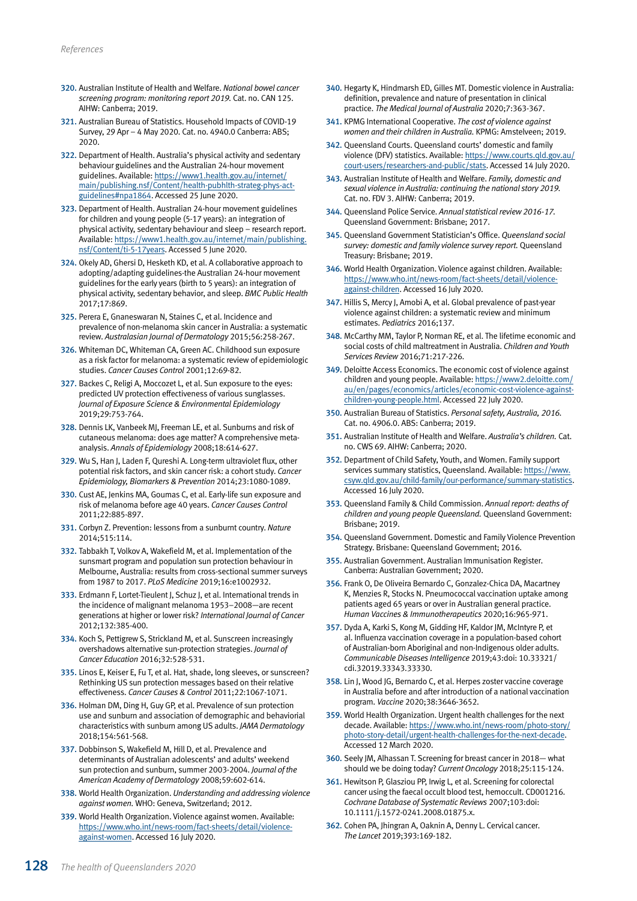- 320. Australian Institute of Health and Welfare. *National bowel cancer screening program: monitoring report 2019.* Cat. no. CAN 125. AIHW: Canberra; 2019.
- 321. Australian Bureau of Statistics. Household Impacts of COVID-19 Survey, 29 Apr – 4 May 2020. Cat. no. 4940.0 Canberra: ABS; 2020.
- 322. Department of Health. Australia's physical activity and sedentary behaviour guidelines and the Australian 24-hour movement guidelines. Available: [https://www1.health.gov.au/internet/](http://www1.health.gov.au/internet/main/publishing.nsf/Content/health-pubhlth-strateg-phys-act-guidelines#npa1864) [main/publishing.nsf/Content/health-pubhlth-strateg-phys-act](http://www1.health.gov.au/internet/main/publishing.nsf/Content/health-pubhlth-strateg-phys-act-guidelines#npa1864)[guidelines#npa1864](http://www1.health.gov.au/internet/main/publishing.nsf/Content/health-pubhlth-strateg-phys-act-guidelines#npa1864). Accessed 25 June 2020.
- 323. Department of Health. Australian 24-hour movement guidelines for children and young people (5-17 years): an integration of physical activity, sedentary behaviour and sleep – research report. Available: [https://www1.health.gov.au/internet/main/publishing.](https://www1.health.gov.au/internet/main/publishing.nsf/Content/ti-5-17years) [nsf/Content/ti-5-17years](https://www1.health.gov.au/internet/main/publishing.nsf/Content/ti-5-17years). Accessed 5 June 2020.
- 324. Okely AD, Ghersi D, Hesketh KD, et al. A collaborative approach to adopting/adapting guidelines-the Australian 24-hour movement guidelines for the early years (birth to 5 years): an integration of physical activity, sedentary behavior, and sleep. *BMC Public Health* 2017;17:869.
- 325. Perera E, Gnaneswaran N, Staines C, et al. Incidence and prevalence of non-melanoma skin cancer in Australia: a systematic review. *Australasian Journal of Dermatology* 2015;56:258-267.
- 326. Whiteman DC, Whiteman CA, Green AC. Childhood sun exposure as a risk factor for melanoma: a systematic review of epidemiologic studies. *Cancer Causes Control* 2001;12:69-82.
- 327. Backes C, Religi A, Moccozet L, et al. Sun exposure to the eyes: predicted UV protection effectiveness of various sunglasses. *Journal of Exposure Science & Environmental Epidemiology* 2019;29:753-764.
- 328. Dennis LK, Vanbeek MJ, Freeman LE, et al. Sunburns and risk of cutaneous melanoma: does age matter? A comprehensive metaanalysis. *Annals of Epidemiology* 2008;18:614-627.
- 329. Wu S, Han J, Laden F, Qureshi A. Long-term ultraviolet flux, other potential risk factors, and skin cancer risk: a cohort study. *Cancer Epidemiology, Biomarkers & Prevention* 2014;23:1080-1089.
- 330. Cust AE, Jenkins MA, Goumas C, et al. Early-life sun exposure and risk of melanoma before age 40 years. *Cancer Causes Control* 2011;22:885-897.
- 331. Corbyn Z. Prevention: lessons from a sunburnt country. *Nature* 2014;515:114.
- 332. Tabbakh T, Volkov A, Wakefield M, et al. Implementation of the sunsmart program and population sun protection behaviour in Melbourne, Australia: results from cross-sectional summer surveys from 1987 to 2017. *PLoS Medicine* 2019;16:e1002932.
- 333. Erdmann F. Lortet-Tieulent I. Schuz I. et al. International trends in the incidence of malignant melanoma 1953–2008—are recent generations at higher or lower risk? *International Journal of Cancer* 2012;132:385-400.
- 334. Koch S, Pettigrew S, Strickland M, et al. Sunscreen increasingly overshadows alternative sun-protection strategies. *Journal of Cancer Education* 2016;32:528-531.
- 335. Linos E, Keiser E, Fu T, et al. Hat, shade, long sleeves, or sunscreen? Rethinking US sun protection messages based on their relative effectiveness. *Cancer Causes & Control* 2011;22:1067-1071.
- 336. Holman DM, Ding H, Guy GP, et al. Prevalence of sun protection use and sunburn and association of demographic and behaviorial characteristics with sunburn among US adults. *JAMA Dermatology* 2018;154:561-568.
- 337. Dobbinson S, Wakefield M, Hill D, et al. Prevalence and determinants of Australian adolescents' and adults' weekend sun protection and sunburn, summer 2003-2004. *Journal of the American Academy of Dermatology* 2008;59:602-614.
- 338. World Health Organization. *Understanding and addressing violence against women.* WHO: Geneva, Switzerland; 2012.
- 339. World Health Organization. Violence against women. Available: [https://www.who.int/news-room/fact-sheets/detail/violence](https://www.who.int/news-room/fact-sheets/detail/violence-against-women)[against-women](https://www.who.int/news-room/fact-sheets/detail/violence-against-women). Accessed 16 July 2020.
- 340. Hegarty K, Hindmarsh ED, Gilles MT. Domestic violence in Australia: definition, prevalence and nature of presentation in clinical practice. *The Medical Journal of Australia* 2020;7:363-367.
- 341. KPMG International Cooperative. *The cost of violence against women and their children in Australia.* KPMG: Amstelveen; 2019.
- 342. Queensland Courts. Queensland courts' domestic and family violence (DFV) statistics. Available: [https://www.courts.qld.gov.au/](https://www.courts.qld.gov.au/court-users/researchers-and-public/stats) [court-users/researchers-and-public/stats](https://www.courts.qld.gov.au/court-users/researchers-and-public/stats). Accessed 14 July 2020.
- 343. Australian Institute of Health and Welfare. *Family, domestic and sexual violence in Australia: continuing the national story 2019.* Cat. no. FDV 3. AIHW: Canberra; 2019.
- 344. Queensland Police Service. *Annual statistical review 2016-17.* Queensland Government: Brisbane; 2017.
- 345. Queensland Government Statistician's Office. *Queensland social survey: domestic and family violence survey report.* Queensland Treasury: Brisbane; 2019.
- 346. World Health Organization. Violence against children. Available: [https://www.who.int/news-room/fact-sheets/detail/violence](https://www.who.int/news-room/fact-sheets/detail/violence-against-children)[against-children](https://www.who.int/news-room/fact-sheets/detail/violence-against-children). Accessed 16 July 2020.
- 347. Hillis S, Mercy J, Amobi A, et al. Global prevalence of past-year violence against children: a systematic review and minimum estimates. *Pediatrics* 2016;137.
- 348. McCarthy MM, Taylor P, Norman RE, et al. The lifetime economic and social costs of child maltreatment in Australia. *Children and Youth Services Review* 2016;71:217-226.
- 349. Deloitte Access Economics. The economic cost of violence against children and young people. Available: [https://www2.deloitte.com/](https://www2.deloitte.com/au/en/pages/economics/articles/economic-cost-violence-against-children-young-people.html) [au/en/pages/economics/articles/economic-cost-violence-against](https://www2.deloitte.com/au/en/pages/economics/articles/economic-cost-violence-against-children-young-people.html)[children-young-people.html.](https://www2.deloitte.com/au/en/pages/economics/articles/economic-cost-violence-against-children-young-people.html) Accessed 22 July 2020.
- 350. Australian Bureau of Statistics. *Personal safety, Australia, 2016.* Cat. no. 4906.0. ABS: Canberra; 2019.
- 351. Australian Institute of Health and Welfare. *Australia's children.* Cat. no. CWS 69. AIHW: Canberra; 2020.
- 352. Department of Child Safety, Youth, and Women. Family support services summary statistics, Queensland. Available: [https://www.](https://www.csyw.qld.gov.au/child-family/our-performance/summary-statistics) [csyw.qld.gov.au/child-family/our-performance/summary-statistics.](https://www.csyw.qld.gov.au/child-family/our-performance/summary-statistics) Accessed 16 July 2020.
- 353. Queensland Family & Child Commission. *Annual report: deaths of children and young people Queensland.* Queensland Government: Brisbane; 2019.
- 354. Queensland Government. Domestic and Family Violence Prevention Strategy. Brisbane: Queensland Government; 2016.
- 355. Australian Government. Australian Immunisation Register. Canberra: Australian Government; 2020.
- 356. Frank O, De Oliveira Bernardo C, Gonzalez-Chica DA, Macartney K, Menzies R, Stocks N. Pneumococcal vaccination uptake among patients aged 65 years or over in Australian general practice. *Human Vaccines & Immunotherapeutics* 2020;16:965-971.
- 357. Dyda A, Karki S, Kong M, Gidding HF, Kaldor JM, McIntyre P, et al. Influenza vaccination coverage in a population-based cohort of Australian-born Aboriginal and non-Indigenous older adults. *Communicable Diseases Intelligence* 2019;43:doi: 10.33321/ cdi.32019.33343.33330.
- 358. Lin J, Wood JG, Bernardo C, et al. Herpes zoster vaccine coverage in Australia before and after introduction of a national vaccination program. *Vaccine* 2020;38:3646-3652.
- 359. World Health Organization. Urgent health challenges for the next decade. Available: [https://www.who.int/news-room/photo-story/](https://www.who.int/news-room/photo-story/photo-story-detail/urgent-health-challenges-for-the-next-decade) [photo-story-detail/urgent-health-challenges-for-the-next-decade.](https://www.who.int/news-room/photo-story/photo-story-detail/urgent-health-challenges-for-the-next-decade) Accessed 12 March 2020.
- 360. Seely JM, Alhassan T. Screening for breast cancer in 2018— what should we be doing today? *Current Oncology* 2018;25:115-124.
- 361. Hewitson P, Glasziou PP, Irwig L, et al. Screening for colorectal cancer using the faecal occult blood test, hemoccult. CD001216. *Cochrane Database of Systematic Reviews* 2007;103:doi: 10.1111/j.1572-0241.2008.01875.x.
- 362. Cohen PA, Jhingran A, Oaknin A, Denny L. Cervical cancer. *The Lancet* 2019;393:169-182.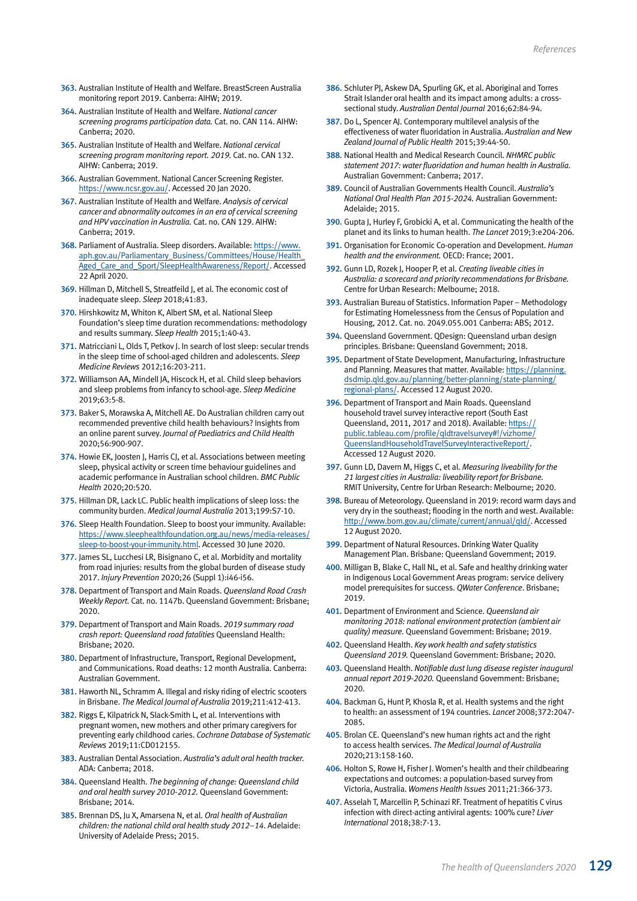- 363. Australian Institute of Health and Welfare. BreastScreen Australia monitoring report 2019. Canberra: AIHW; 2019.
- 364. Australian Institute of Health and Welfare. *National cancer screening programs participation data.* Cat. no. CAN 114. AIHW: Canberra; 2020.
- 365. Australian Institute of Health and Welfare. *National cervical screening program monitoring report. 2019.* Cat. no. CAN 132. AIHW: Canberra; 2019.
- 366. Australian Government. National Cancer Screening Register. <https://www.ncsr.gov.au/>. Accessed 20 Jan 2020.
- 367. Australian Institute of Health and Welfare. *Analysis of cervical cancer and abnormality outcomes in an era of cervical screening and HPV vaccination in Australia.* Cat. no. CAN 129. AIHW: Canberra; 2019.
- 368. Parliament of Australia. Sleep disorders. Available: [https://www.](https://www.aph.gov.au/Parliamentary_Business/Committees/House/Health_Aged_Care_and_Sport/SleepHealthAwareness/Report/section?id=committees%2Freportrep%2F024220%2F26954) [aph.gov.au/Parliamentary\\_Business/Committees/House/Health\\_](https://www.aph.gov.au/Parliamentary_Business/Committees/House/Health_Aged_Care_and_Sport/SleepHealthAwareness/Report/section?id=committees%2Freportrep%2F024220%2F26954) [Aged\\_Care\\_and\\_Sport/SleepHealthAwareness/Report/.](https://www.aph.gov.au/Parliamentary_Business/Committees/House/Health_Aged_Care_and_Sport/SleepHealthAwareness/Report/section?id=committees%2Freportrep%2F024220%2F26954) Accessed 22 April 2020.
- 369. Hillman D, Mitchell S, Streatfeild J, et al. The economic cost of inadequate sleep. *Sleep* 2018;41:83.
- 370. Hirshkowitz M, Whiton K, Albert SM, et al. National Sleep Foundation's sleep time duration recommendations: methodology and results summary. *Sleep Health* 2015;1:40-43.
- 371. Matricciani L, Olds T, Petkov J. In search of lost sleep: secular trends in the sleep time of school-aged children and adolescents. *Sleep Medicine Reviews* 2012;16:203-211.
- 372. Williamson AA, Mindell JA, Hiscock H, et al. Child sleep behaviors and sleep problems from infancy to school-age. *Sleep Medicine* 2019;63:5-8.
- 373. Baker S, Morawska A, Mitchell AE. Do Australian children carry out recommended preventive child health behaviours? Insights from an online parent survey. *Journal of Paediatrics and Child Health* 2020;56:900-907.
- 374. Howie EK, Joosten J, Harris CJ, et al. Associations between meeting sleep, physical activity or screen time behaviour guidelines and academic performance in Australian school children. *BMC Public Health* 2020;20:520.
- 375. Hillman DR, Lack LC. Public health implications of sleep loss: the community burden. *Medical Journal Australia* 2013;199:S7-10.
- 376. Sleep Health Foundation. Sleep to boost your immunity. Available: [https://www.sleephealthfoundation.org.au/news/media-releases/](https://www.sleephealthfoundation.org.au/news/media-releases/sleep-to-boost-your-immunity.html) [sleep-to-boost-your-immunity.html](https://www.sleephealthfoundation.org.au/news/media-releases/sleep-to-boost-your-immunity.html). Accessed 30 June 2020.
- 377. James SL, Lucchesi LR, Bisignano C, et al. Morbidity and mortality from road injuries: results from the global burden of disease study 2017. *Injury Prevention* 2020;26 (Suppl 1):i46-i56.
- 378. Department of Transport and Main Roads. *Queensland Road Crash Weekly Report.* Cat. no. 1147b. Queensland Government: Brisbane; 2020.
- 379. Department of Transport and Main Roads. *2019 summary road crash report: Queensland road fatalities* Queensland Health: Brisbane; 2020.
- 380. Department of Infrastructure, Transport, Regional Development, and Communications. Road deaths: 12 month Australia. Canberra: Australian Government.
- 381. Haworth NL, Schramm A. Illegal and risky riding of electric scooters in Brisbane. *The Medical Journal of Australia* 2019;211:412-413.
- 382. Riggs E, Kilpatrick N, Slack-Smith L, et al. Interventions with pregnant women, new mothers and other primary caregivers for preventing early childhood caries. *Cochrane Database of Systematic Reviews* 2019;11:CD012155.
- 383. Australian Dental Association. *Australia's adult oral health tracker.* ADA: Canberra; 2018.
- 384. Queensland Health. *The beginning of change: Queensland child and oral health survey 2010-2012.* Queensland Government: Brisbane; 2014.
- 385. Brennan DS, Ju X, Amarsena N, et al. *Oral health of Australian children: the national child oral health study 2012–14*. Adelaide: University of Adelaide Press; 2015.
- 386. Schluter PJ, Askew DA, Spurling GK, et al. Aboriginal and Torres Strait Islander oral health and its impact among adults: a crosssectional study. *Australian Dental Journal* 2016;62:84-94.
- 387. Do L, Spencer AJ. Contemporary multilevel analysis of the effectiveness of water fluoridation in Australia. *Australian and New Zealand Journal of Public Health* 2015;39:44-50.
- 388. National Health and Medical Research Council. *NHMRC public statement 2017: water fluoridation and human health in Australia.* Australian Government: Canberra; 2017.
- 389. Council of Australian Governments Health Council. *Australia's National Oral Health Plan 2015-2024.* Australian Government: Adelaide; 2015.
- 390. Gupta J, Hurley F, Grobicki A, et al. Communicating the health of the planet and its links to human health. *The Lancet* 2019;3:e204-206.
- 391. Organisation for Economic Co-operation and Development. *Human health and the environment.* OECD: France; 2001.
- 392. Gunn LD, Rozek J, Hooper P, et al. *Creating liveable cities in Australia: a scorecard and priority recommendations for Brisbane.* Centre for Urban Research: Melbourne; 2018.
- 393. Australian Bureau of Statistics. Information Paper Methodology for Estimating Homelessness from the Census of Population and Housing, 2012. Cat. no. 2049.055.001 Canberra: ABS; 2012.
- 394. Queensland Government. QDesign: Queensland urban design principles. Brisbane: Queensland Government; 2018.
- 395. Department of State Development, Manufacturing, Infrastructure and Planning. Measures that matter. Available: [https://planning.](https://planning.dsdmip.qld.gov.au/planning/better-planning/state-planning/regional-plans/seqrp/mtm?theme=connect) [dsdmip.qld.gov.au/planning/better-planning/state-planning/](https://planning.dsdmip.qld.gov.au/planning/better-planning/state-planning/regional-plans/seqrp/mtm?theme=connect) [regional-plans/](https://planning.dsdmip.qld.gov.au/planning/better-planning/state-planning/regional-plans/seqrp/mtm?theme=connect). Accessed 12 August 2020.
- 396. Department of Transport and Main Roads. Queensland household travel survey interactive report (South East Queensland, 2011, 2017 and 2018). Available: [https://](https://public.tableau.com/profile/qldtravelsurvey#!/) [public.tableau.com/profile/qldtravelsurvey#!/vizhome/](https://public.tableau.com/profile/qldtravelsurvey#!/) [QueenslandHouseholdTravelSurveyInteractiveReport/](https://public.tableau.com/profile/qldtravelsurvey#!/). Accessed 12 August 2020.
- 397. Gunn LD, Davern M, Higgs C, et al. *Measuring liveability for the 21 largest cities in Australia: liveability report for Brisbane.* RMIT University, Centre for Urban Research: Melbourne; 2020.
- 398. Bureau of Meteorology. Queensland in 2019: record warm days and very dry in the southeast; flooding in the north and west. Available: [http://www.bom.gov.au/climate/current/annual/qld/.](http://www.bom.gov.au/climate/current/annual/qld/summary.shtml) Accessed 12 August 2020.
- 399. Department of Natural Resources. Drinking Water Quality Management Plan. Brisbane: Queensland Government; 2019.
- 400. Milligan B, Blake C, Hall NL, et al. Safe and healthy drinking water in Indigenous Local Government Areas program: service delivery model prerequisites for success. *QWater Conference*. Brisbane; 2019.
- 401. Department of Environment and Science. *Queensland air monitoring 2018: national environment protection (ambient air quality) measure.* Queensland Government: Brisbane; 2019.
- 402. Queensland Health. *Key work health and safety statistics Queensland 2019.* Queensland Government: Brisbane; 2020.
- 403. Queensland Health. *Notifiable dust lung disease register inaugural annual report 2019-2020.* Queensland Government: Brisbane; 2020.
- 404. Backman G, Hunt P, Khosla R, et al. Health systems and the right to health: an assessment of 194 countries. *Lancet* 2008;372:2047- 2085.
- 405. Brolan CE. Queensland's new human rights act and the right to access health services. *The Medical Journal of Australia* 2020;213:158-160.
- 406. Holton S, Rowe H, Fisher J. Women's health and their childbearing expectations and outcomes: a population-based survey from Victoria, Australia. *Womens Health Issues* 2011;21:366-373.
- 407. Asselah T, Marcellin P, Schinazi RF. Treatment of hepatitis C virus infection with direct-acting antiviral agents: 100% cure? *Liver International* 2018;38:7-13.